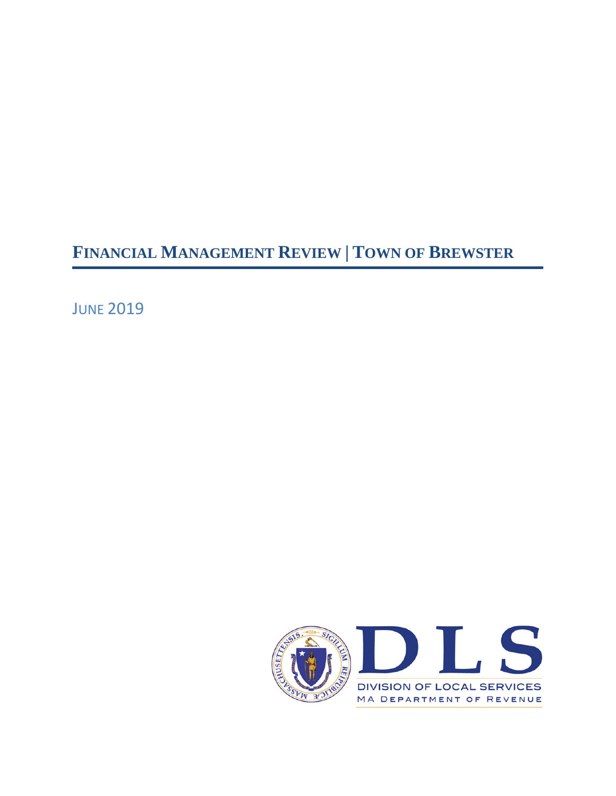**FINANCIAL MANAGEMENT REVIEW | TOWN OF BREWSTER**

**JUNE 2019** 

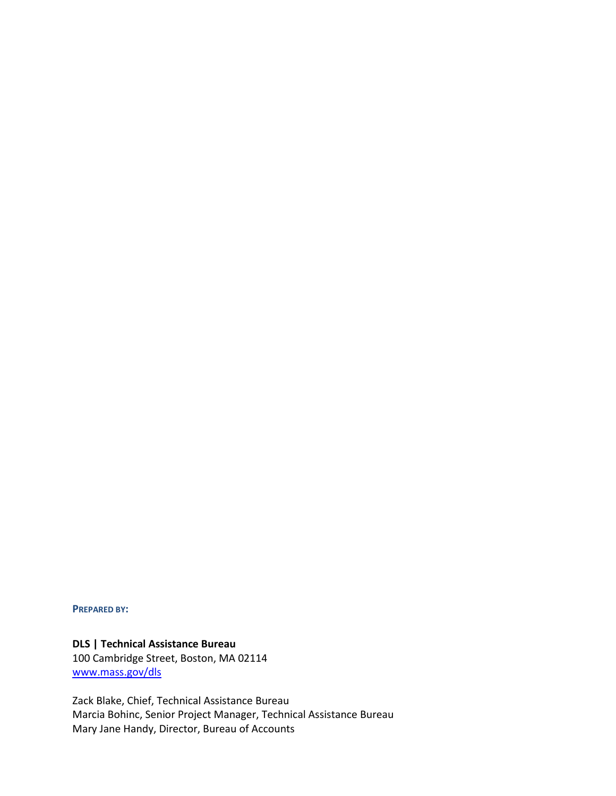**PREPARED BY:**

## **DLS | Technical Assistance Bureau**

100 Cambridge Street, Boston, MA 02114 [www.mass.gov/dls](http://www.mass.gov/dls)

Zack Blake, Chief, Technical Assistance Bureau Marcia Bohinc, Senior Project Manager, Technical Assistance Bureau Mary Jane Handy, Director, Bureau of Accounts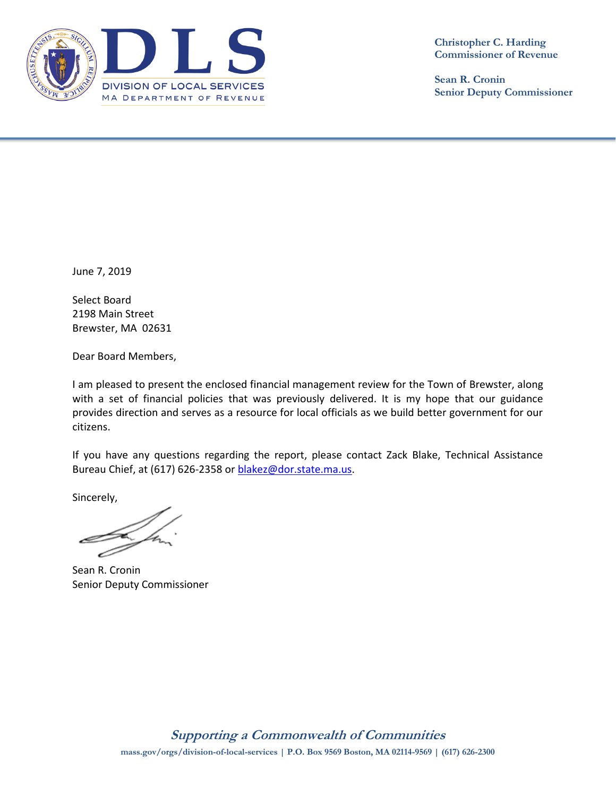

**Sean R. Cronin Senior Deputy Commissioner**

June 7, 2019

Select Board 2198 Main Street Brewster, MA 02631

Dear Board Members,

I am pleased to present the enclosed financial management review for the Town of Brewster, along with a set of financial policies that was previously delivered. It is my hope that our guidance provides direction and serves as a resource for local officials as we build better government for our citizens.

If you have any questions regarding the report, please contact Zack Blake, Technical Assistance Bureau Chief, at (617) 626-2358 or [blakez@dor.state.ma.us.](mailto:blakez@dor.state.ma.us)

Sincerely,

Sean R. Cronin Senior Deputy Commissioner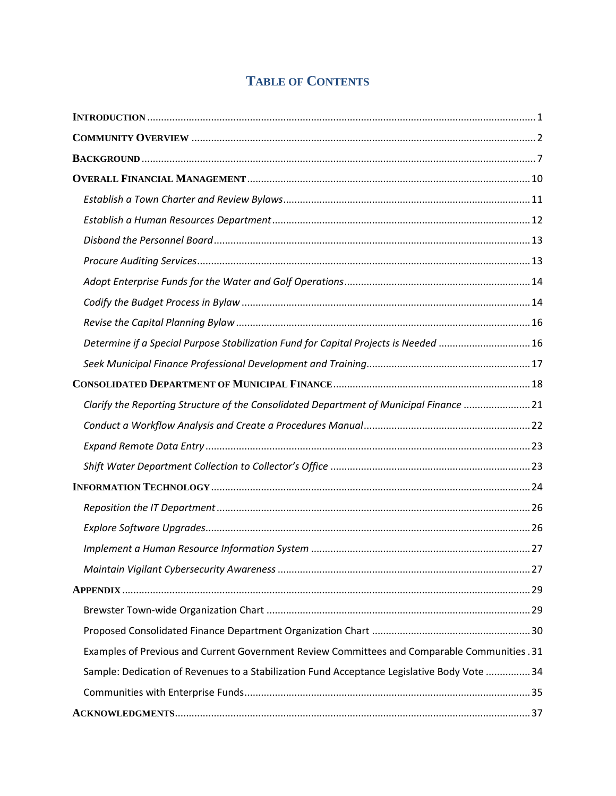# **TABLE OF CONTENTS**

| Determine if a Special Purpose Stabilization Fund for Capital Projects is Needed 16          |  |
|----------------------------------------------------------------------------------------------|--|
|                                                                                              |  |
|                                                                                              |  |
| Clarify the Reporting Structure of the Consolidated Department of Municipal Finance 21       |  |
|                                                                                              |  |
|                                                                                              |  |
|                                                                                              |  |
|                                                                                              |  |
|                                                                                              |  |
|                                                                                              |  |
|                                                                                              |  |
|                                                                                              |  |
|                                                                                              |  |
|                                                                                              |  |
|                                                                                              |  |
| Examples of Previous and Current Government Review Committees and Comparable Communities .31 |  |
| Sample: Dedication of Revenues to a Stabilization Fund Acceptance Legislative Body Vote  34  |  |
|                                                                                              |  |
|                                                                                              |  |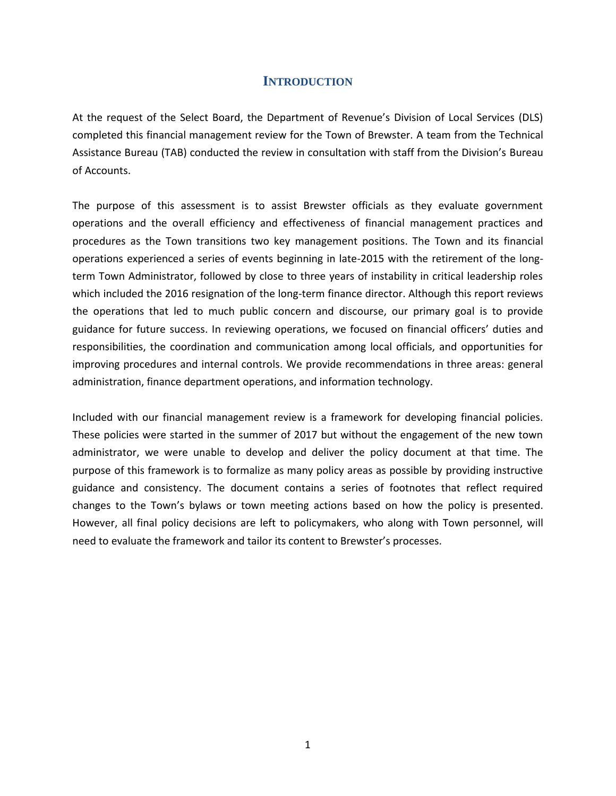## **INTRODUCTION**

<span id="page-6-0"></span>At the request of the Select Board, the Department of Revenue's Division of Local Services (DLS) completed this financial management review for the Town of Brewster. A team from the Technical Assistance Bureau (TAB) conducted the review in consultation with staff from the Division's Bureau of Accounts.

The purpose of this assessment is to assist Brewster officials as they evaluate government operations and the overall efficiency and effectiveness of financial management practices and procedures as the Town transitions two key management positions. The Town and its financial operations experienced a series of events beginning in late-2015 with the retirement of the longterm Town Administrator, followed by close to three years of instability in critical leadership roles which included the 2016 resignation of the long-term finance director. Although this report reviews the operations that led to much public concern and discourse, our primary goal is to provide guidance for future success. In reviewing operations, we focused on financial officers' duties and responsibilities, the coordination and communication among local officials, and opportunities for improving procedures and internal controls. We provide recommendations in three areas: general administration, finance department operations, and information technology.

Included with our financial management review is a framework for developing financial policies. These policies were started in the summer of 2017 but without the engagement of the new town administrator, we were unable to develop and deliver the policy document at that time. The purpose of this framework is to formalize as many policy areas as possible by providing instructive guidance and consistency. The document contains a series of footnotes that reflect required changes to the Town's bylaws or town meeting actions based on how the policy is presented. However, all final policy decisions are left to policymakers, who along with Town personnel, will need to evaluate the framework and tailor its content to Brewster's processes.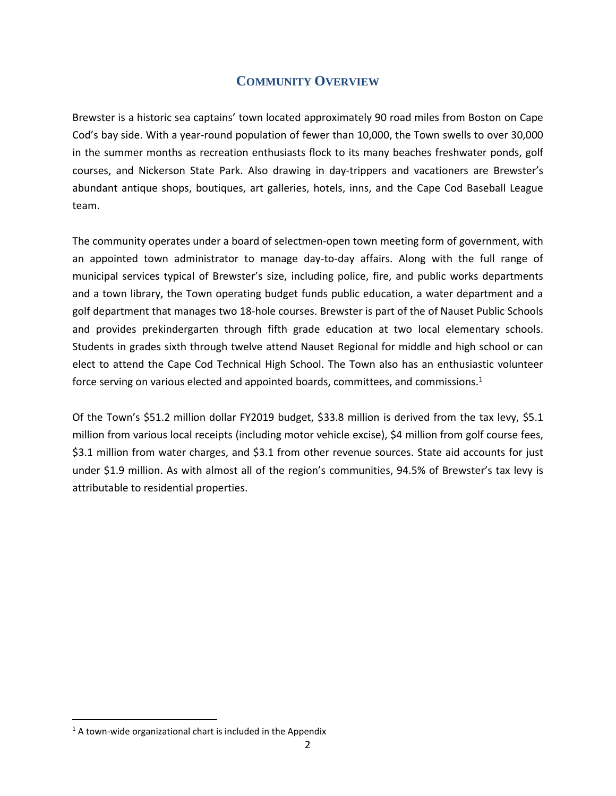## **COMMUNITY OVERVIEW**

<span id="page-7-0"></span>Brewster is a historic sea captains' town located approximately 90 road miles from Boston on Cape Cod's bay side. With a year-round population of fewer than 10,000, the Town swells to over 30,000 in the summer months as recreation enthusiasts flock to its many beaches freshwater ponds, golf courses, and Nickerson State Park. Also drawing in day-trippers and vacationers are Brewster's abundant antique shops, boutiques, art galleries, hotels, inns, and the Cape Cod Baseball League team.

The community operates under a board of selectmen-open town meeting form of government, with an appointed town administrator to manage day-to-day affairs. Along with the full range of municipal services typical of Brewster's size, including police, fire, and public works departments and a town library, the Town operating budget funds public education, a water department and a golf department that manages two 18-hole courses. Brewster is part of the of Nauset Public Schools and provides prekindergarten through fifth grade education at two local elementary schools. Students in grades sixth through twelve attend Nauset Regional for middle and high school or can elect to attend the Cape Cod Technical High School. The Town also has an enthusiastic volunteer force serving on various elected and appointed boards, committees, and commissions. $1$ 

Of the Town's \$51.2 million dollar FY2019 budget, \$33.8 million is derived from the tax levy, \$5.1 million from various local receipts (including motor vehicle excise), \$4 million from golf course fees, \$3.1 million from water charges, and \$3.1 from other revenue sources. State aid accounts for just under \$1.9 million. As with almost all of the region's communities, 94.5% of Brewster's tax levy is attributable to residential properties.

 $\overline{a}$ 

 $1$  A town-wide organizational chart is included in the Appendix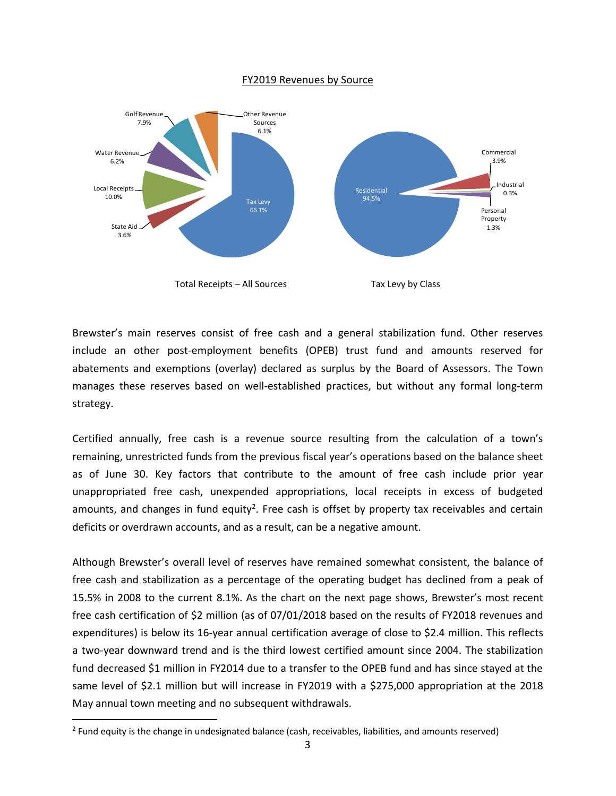#### FY2019 Revenues by Source



Brewster's main reserves consist of free cash and a general stabilization fund. Other reserves include an other post-employment benefits (OPEB) trust fund and amounts reserved for abatements and exemptions (overlay) declared as surplus by the Board of Assessors. The Town manages these reserves based on well-established practices, but without any formal long-term strategy.

Certified annually, free cash is a revenue source resulting from the calculation of a town's remaining, unrestricted funds from the previous fiscal year's operations based on the balance sheet as of June 30. Key factors that contribute to the amount of free cash include prior year unappropriated free cash, unexpended appropriations, local receipts in excess of budgeted amounts, and changes in fund equity<sup>2</sup>. Free cash is offset by property tax receivables and certain deficits or overdrawn accounts, and as a result, can be a negative amount.

Although Brewster's overall level of reserves have remained somewhat consistent, the balance of free cash and stabilization as a percentage of the operating budget has declined from a peak of 15.5% in 2008 to the current 8.1%. As the chart on the next page shows, Brewster's most recent free cash certification of \$2 million (as of 07/01/2018 based on the results of FY2018 revenues and expenditures) is below its 16-year annual certification average of close to \$2.4 million. This reflects a two-year downward trend and is the third lowest certified amount since 2004. The stabilization fund decreased \$1 million in FY2014 due to a transfer to the OPEB fund and has since stayed at the same level of \$2.1 million but will increase in FY2019 with a \$275,000 appropriation at the 2018 May annual town meeting and no subsequent withdrawals.

 $\overline{a}$ 

 $^2$  Fund equity is the change in undesignated balance (cash, receivables, liabilities, and amounts reserved)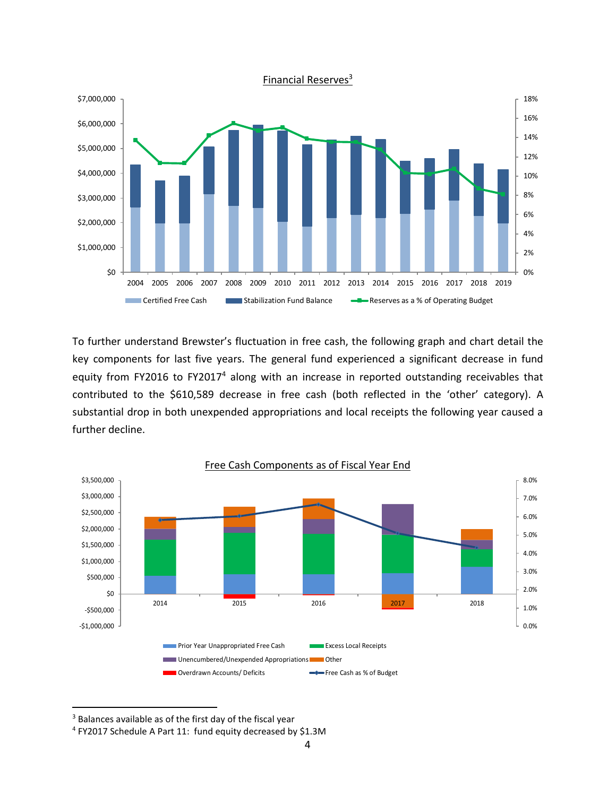

To further understand Brewster's fluctuation in free cash, the following graph and chart detail the key components for last five years. The general fund experienced a significant decrease in fund equity from FY2016 to FY2017<sup>4</sup> along with an increase in reported outstanding receivables that contributed to the \$610,589 decrease in free cash (both reflected in the 'other' category). A substantial drop in both unexpended appropriations and local receipts the following year caused a further decline.



<sup>&</sup>lt;sup>3</sup> Balances available as of the first day of the fiscal year

 $\overline{\phantom{a}}$ 

<sup>4</sup> FY2017 Schedule A Part 11: fund equity decreased by \$1.3M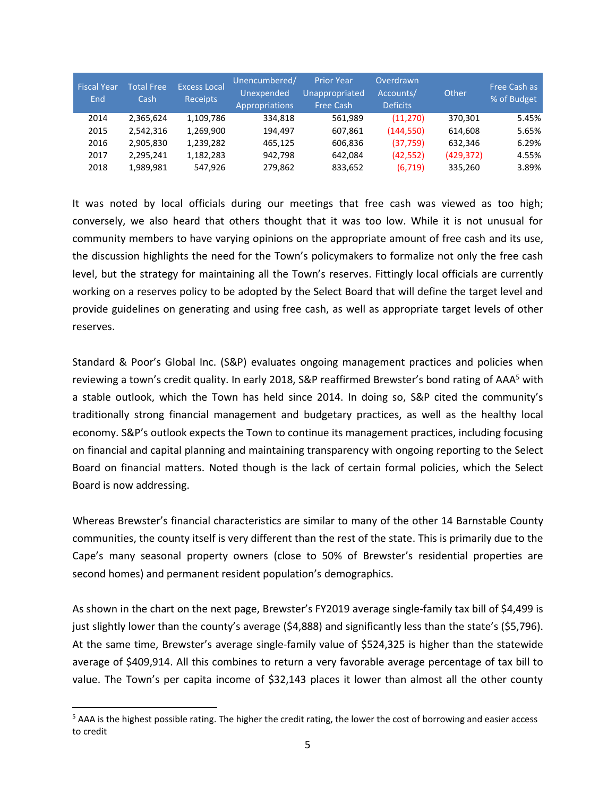| <b>Fiscal Year</b><br>End | <b>Total Free</b><br>Cash | <b>Excess Local</b><br><b>Receipts</b> | Unencumbered/<br>Unexpended<br>Appropriations | <b>Prior Year</b><br>Unappropriated<br><b>Free Cash</b> | Overdrawn<br>Accounts/<br><b>Deficits</b> | Other      | Free Cash as<br>% of Budget |
|---------------------------|---------------------------|----------------------------------------|-----------------------------------------------|---------------------------------------------------------|-------------------------------------------|------------|-----------------------------|
| 2014                      | 2.365.624                 | 1,109,786                              | 334.818                                       | 561.989                                                 | (11, 270)                                 | 370.301    | 5.45%                       |
| 2015                      | 2,542,316                 | 1,269,900                              | 194.497                                       | 607,861                                                 | (144, 550)                                | 614.608    | 5.65%                       |
| 2016                      | 2,905,830                 | 1,239,282                              | 465,125                                       | 606.836                                                 | (37,759)                                  | 632.346    | 6.29%                       |
| 2017                      | 2,295,241                 | 1,182,283                              | 942.798                                       | 642.084                                                 | (42, 552)                                 | (429, 372) | 4.55%                       |
| 2018                      | 1,989,981                 | 547.926                                | 279,862                                       | 833,652                                                 | (6,719)                                   | 335,260    | 3.89%                       |

It was noted by local officials during our meetings that free cash was viewed as too high; conversely, we also heard that others thought that it was too low. While it is not unusual for community members to have varying opinions on the appropriate amount of free cash and its use, the discussion highlights the need for the Town's policymakers to formalize not only the free cash level, but the strategy for maintaining all the Town's reserves. Fittingly local officials are currently working on a reserves policy to be adopted by the Select Board that will define the target level and provide guidelines on generating and using free cash, as well as appropriate target levels of other reserves.

Standard & Poor's Global Inc. (S&P) evaluates ongoing management practices and policies when reviewing a town's credit quality. In early 2018, S&P reaffirmed Brewster's bond rating of AAA<sup>5</sup> with a stable outlook, which the Town has held since 2014. In doing so, S&P cited the community's traditionally strong financial management and budgetary practices, as well as the healthy local economy. S&P's outlook expects the Town to continue its management practices, including focusing on financial and capital planning and maintaining transparency with ongoing reporting to the Select Board on financial matters. Noted though is the lack of certain formal policies, which the Select Board is now addressing. Fiscal Year<br>
End<br>
2014<br>
2015<br>
2016<br>
2017<br>
2018<br>
10 2017<br>
2018<br>
11 was nc<br>
conversely<br>
communit<br>
the discus<br>
level, but<br>
working o<br>
provide gu<br>
reserves.<br>
Standard<br>
reviewing<br>
a stable c<br>
traditional<br>
economy.<br>
on financia<br>

Whereas Brewster's financial characteristics are similar to many of the other 14 Barnstable County communities, the county itself is very different than the rest of the state. This is primarily due to the Cape's many seasonal property owners (close to 50% of Brewster's residential properties are second homes) and permanent resident population's demographics.

As shown in the chart on the next page, Brewster's FY2019 average single-family tax bill of \$4,499 is just slightly lower than the county's average (\$4,888) and significantly less than the state's (\$5,796). At the same time, Brewster's average single-family value of \$524,325 is higher than the statewide average of \$409,914. All this combines to return a very favorable average percentage of tax bill to value. The Town's per capita income of \$32,143 places it lower than almost all the other county

 $\overline{\phantom{a}}$ 

 $5$  AAA is the highest possible rating. The higher the credit rating, the lower the cost of borrowing and easier access to credit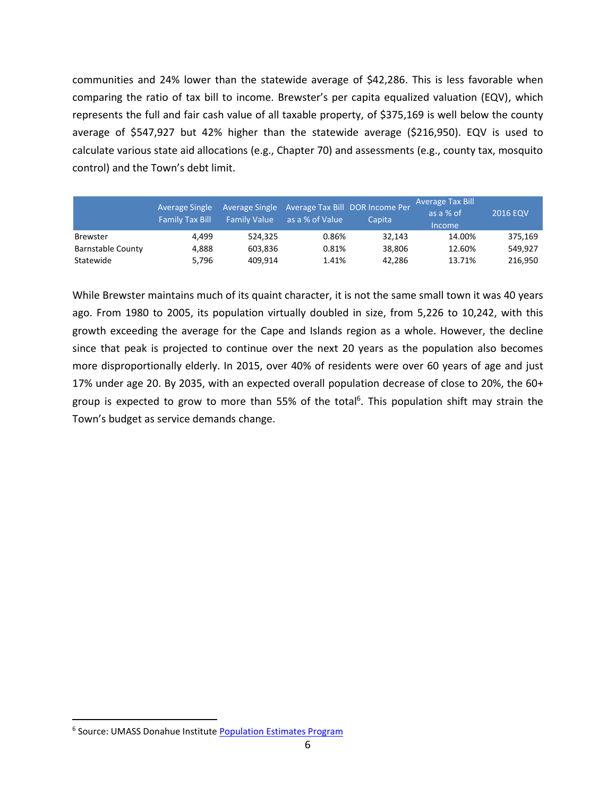communities and 24% lower than the statewide average of \$42,286. This is less favorable when comparing the ratio of tax bill to income. Brewster's per capita equalized valuation (EQV), which represents the full and fair cash value of all taxable property, of \$375,169 is well below the county average of \$547,927 but 42% higher than the statewide average (\$216,950). EQV is used to calculate various state aid allocations (e.g., Chapter 70) and assessments (e.g., county tax, mosquito control) and the Town's debt limit.

|                          | <b>Average Single</b><br><b>Family Tax Bill</b> | <b>Family Value</b> | Average Single Average Tax Bill DOR Income Per<br>as a % of Value | Capita | <b>Average Tax Bill</b><br>as a % of<br><i><u>Income</u></i> | <b>2016 EQV</b> |
|--------------------------|-------------------------------------------------|---------------------|-------------------------------------------------------------------|--------|--------------------------------------------------------------|-----------------|
| <b>Brewster</b>          | 4.499                                           | 524.325             | 0.86%                                                             | 32.143 | 14.00%                                                       | 375.169         |
| <b>Barnstable County</b> | 4.888                                           | 603.836             | 0.81%                                                             | 38.806 | 12.60%                                                       | 549.927         |
| Statewide                | 5.796                                           | 409.914             | 1.41%                                                             | 42.286 | 13.71%                                                       | 216.950         |

While Brewster maintains much of its quaint character, it is not the same small town it was 40 years ago. From 1980 to 2005, its population virtually doubled in size, from 5,226 to 10,242, with this growth exceeding the average for the Cape and Islands region as a whole. However, the decline since that peak is projected to continue over the next 20 years as the population also becomes more disproportionally elderly. In 2015, over 40% of residents were over 60 years of age and just 17% under age 20. By 2035, with an expected overall population decrease of close to 20%, the 60+ group is expected to grow to more than 55% of the total<sup>6</sup>. This population shift may strain the Town's budget as service demands change. Average Single Average Single Average Single Average Tax Bill Smilly Take as a % of Value<br>
starts and County<br>
4,499 524,325 0.869<br>
4,888 603,836 0.819<br>
4,888 603,836 0.819<br>
4,4149 4,99 4,09,914 1,419<br>
4,898 603,836 0.819<br>

 $\overline{a}$ 

<sup>&</sup>lt;sup>6</sup> Source: UMASS Donahue Institute Population Estimates Program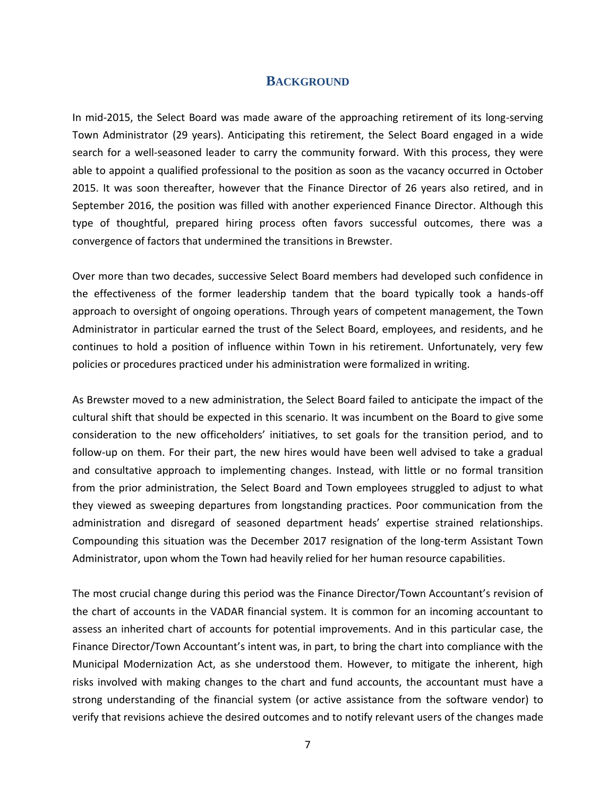### **BACKGROUND**

<span id="page-12-0"></span>In mid-2015, the Select Board was made aware of the approaching retirement of its long-serving Town Administrator (29 years). Anticipating this retirement, the Select Board engaged in a wide search for a well-seasoned leader to carry the community forward. With this process, they were able to appoint a qualified professional to the position as soon as the vacancy occurred in October 2015. It was soon thereafter, however that the Finance Director of 26 years also retired, and in September 2016, the position was filled with another experienced Finance Director. Although this type of thoughtful, prepared hiring process often favors successful outcomes, there was a convergence of factors that undermined the transitions in Brewster.

Over more than two decades, successive Select Board members had developed such confidence in the effectiveness of the former leadership tandem that the board typically took a hands-off approach to oversight of ongoing operations. Through years of competent management, the Town Administrator in particular earned the trust of the Select Board, employees, and residents, and he continues to hold a position of influence within Town in his retirement. Unfortunately, very few policies or procedures practiced under his administration were formalized in writing.

As Brewster moved to a new administration, the Select Board failed to anticipate the impact of the cultural shift that should be expected in this scenario. It was incumbent on the Board to give some consideration to the new officeholders' initiatives, to set goals for the transition period, and to follow-up on them. For their part, the new hires would have been well advised to take a gradual and consultative approach to implementing changes. Instead, with little or no formal transition from the prior administration, the Select Board and Town employees struggled to adjust to what they viewed as sweeping departures from longstanding practices. Poor communication from the administration and disregard of seasoned department heads' expertise strained relationships. Compounding this situation was the December 2017 resignation of the long-term Assistant Town Administrator, upon whom the Town had heavily relied for her human resource capabilities.

The most crucial change during this period was the Finance Director/Town Accountant's revision of the chart of accounts in the VADAR financial system. It is common for an incoming accountant to assess an inherited chart of accounts for potential improvements. And in this particular case, the Finance Director/Town Accountant's intent was, in part, to bring the chart into compliance with the Municipal Modernization Act, as she understood them. However, to mitigate the inherent, high risks involved with making changes to the chart and fund accounts, the accountant must have a strong understanding of the financial system (or active assistance from the software vendor) to verify that revisions achieve the desired outcomes and to notify relevant users of the changes made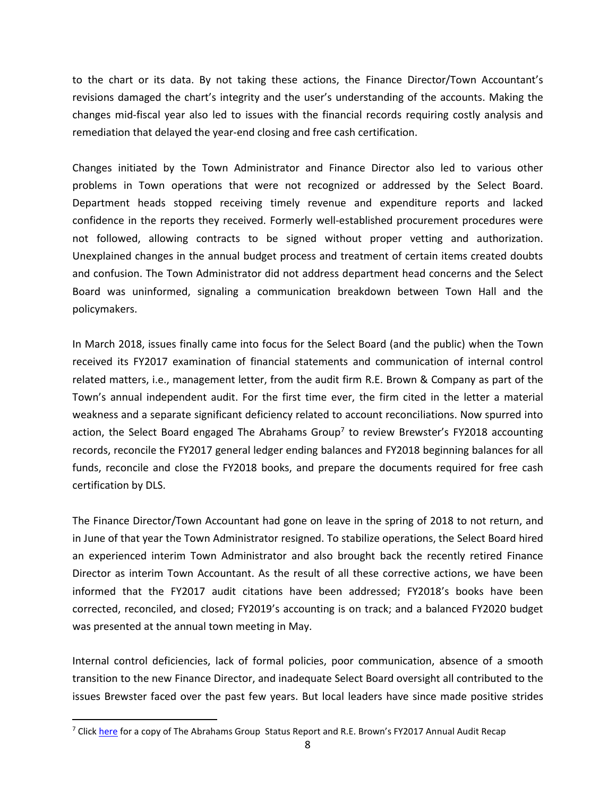to the chart or its data. By not taking these actions, the Finance Director/Town Accountant's revisions damaged the chart's integrity and the user's understanding of the accounts. Making the changes mid-fiscal year also led to issues with the financial records requiring costly analysis and remediation that delayed the year-end closing and free cash certification.

Changes initiated by the Town Administrator and Finance Director also led to various other problems in Town operations that were not recognized or addressed by the Select Board. Department heads stopped receiving timely revenue and expenditure reports and lacked confidence in the reports they received. Formerly well-established procurement procedures were not followed, allowing contracts to be signed without proper vetting and authorization. Unexplained changes in the annual budget process and treatment of certain items created doubts and confusion. The Town Administrator did not address department head concerns and the Select Board was uninformed, signaling a communication breakdown between Town Hall and the policymakers.

In March 2018, issues finally came into focus for the Select Board (and the public) when the Town received its FY2017 examination of financial statements and communication of internal control related matters, i.e., management letter, from the audit firm R.E. Brown & Company as part of the Town's annual independent audit. For the first time ever, the firm cited in the letter a material weakness and a separate significant deficiency related to account reconciliations. Now spurred into action, the Select Board engaged The Abrahams Group<sup>7</sup> to review Brewster's FY2018 accounting records, reconcile the FY2017 general ledger ending balances and FY2018 beginning balances for all funds, reconcile and close the FY2018 books, and prepare the documents required for free cash certification by DLS.

The Finance Director/Town Accountant had gone on leave in the spring of 2018 to not return, and in June of that year the Town Administrator resigned. To stabilize operations, the Select Board hired an experienced interim Town Administrator and also brought back the recently retired Finance Director as interim Town Accountant. As the result of all these corrective actions, we have been informed that the FY2017 audit citations have been addressed; FY2018's books have been corrected, reconciled, and closed; FY2019's accounting is on track; and a balanced FY2020 budget was presented at the annual town meeting in May.

Internal control deficiencies, lack of formal policies, poor communication, absence of a smooth transition to the new Finance Director, and inadequate Select Board oversight all contributed to the issues Brewster faced over the past few years. But local leaders have since made positive strides

 $\overline{a}$ 

 $7$  Clic[k here](https://www.brewster-ma.gov/files/abrahamsbrownpresentation.pdf) for a copy of The Abrahams Group Status Report and R.E. Brown's FY2017 Annual Audit Recap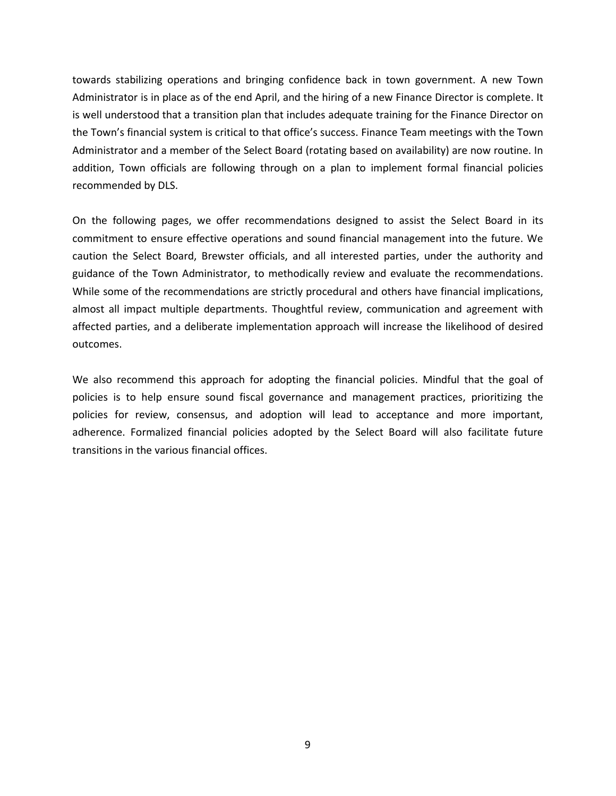towards stabilizing operations and bringing confidence back in town government. A new Town Administrator is in place as of the end April, and the hiring of a new Finance Director is complete. It is well understood that a transition plan that includes adequate training for the Finance Director on the Town's financial system is critical to that office's success. Finance Team meetings with the Town Administrator and a member of the Select Board (rotating based on availability) are now routine. In addition, Town officials are following through on a plan to implement formal financial policies recommended by DLS.

On the following pages, we offer recommendations designed to assist the Select Board in its commitment to ensure effective operations and sound financial management into the future. We caution the Select Board, Brewster officials, and all interested parties, under the authority and guidance of the Town Administrator, to methodically review and evaluate the recommendations. While some of the recommendations are strictly procedural and others have financial implications, almost all impact multiple departments. Thoughtful review, communication and agreement with affected parties, and a deliberate implementation approach will increase the likelihood of desired outcomes.

We also recommend this approach for adopting the financial policies. Mindful that the goal of policies is to help ensure sound fiscal governance and management practices, prioritizing the policies for review, consensus, and adoption will lead to acceptance and more important, adherence. Formalized financial policies adopted by the Select Board will also facilitate future transitions in the various financial offices.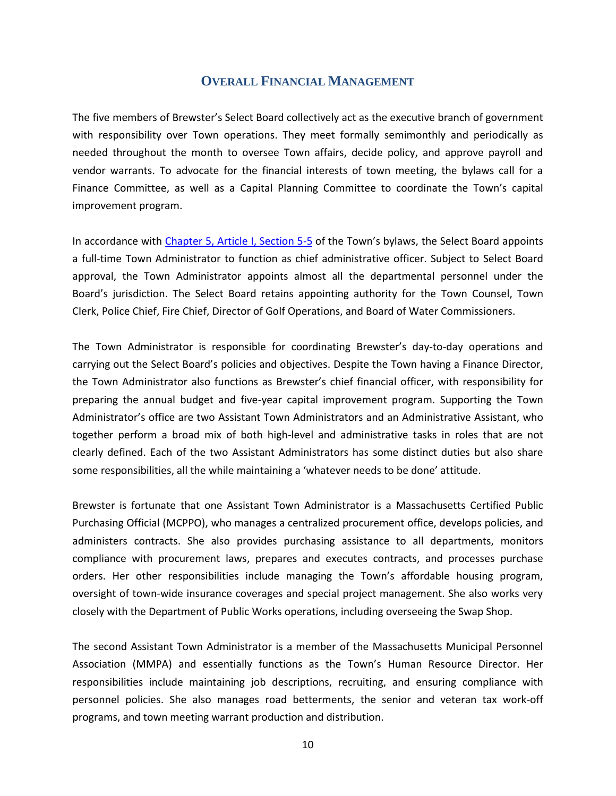## **OVERALL FINANCIAL MANAGEMENT**

<span id="page-15-0"></span>The five members of Brewster's Select Board collectively act as the executive branch of government with responsibility over Town operations. They meet formally semimonthly and periodically as needed throughout the month to oversee Town affairs, decide policy, and approve payroll and vendor warrants. To advocate for the financial interests of town meeting, the bylaws call for a Finance Committee, as well as a Capital Planning Committee to coordinate the Town's capital improvement program.

In accordance with [Chapter 5, Article I, Section 5-5](https://www.ecode360.com/7605575) of the Town's bylaws, the Select Board appoints a full-time Town Administrator to function as chief administrative officer. Subject to Select Board approval, the Town Administrator appoints almost all the departmental personnel under the Board's jurisdiction. The Select Board retains appointing authority for the Town Counsel, Town Clerk, Police Chief, Fire Chief, Director of Golf Operations, and Board of Water Commissioners.

The Town Administrator is responsible for coordinating Brewster's day-to-day operations and carrying out the Select Board's policies and objectives. Despite the Town having a Finance Director, the Town Administrator also functions as Brewster's chief financial officer, with responsibility for preparing the annual budget and five-year capital improvement program. Supporting the Town Administrator's office are two Assistant Town Administrators and an Administrative Assistant, who together perform a broad mix of both high-level and administrative tasks in roles that are not clearly defined. Each of the two Assistant Administrators has some distinct duties but also share some responsibilities, all the while maintaining a 'whatever needs to be done' attitude.

Brewster is fortunate that one Assistant Town Administrator is a Massachusetts Certified Public Purchasing Official (MCPPO), who manages a centralized procurement office, develops policies, and administers contracts. She also provides purchasing assistance to all departments, monitors compliance with procurement laws, prepares and executes contracts, and processes purchase orders. Her other responsibilities include managing the Town's affordable housing program, oversight of town-wide insurance coverages and special project management. She also works very closely with the Department of Public Works operations, including overseeing the Swap Shop.

The second Assistant Town Administrator is a member of the Massachusetts Municipal Personnel Association (MMPA) and essentially functions as the Town's Human Resource Director. Her responsibilities include maintaining job descriptions, recruiting, and ensuring compliance with personnel policies. She also manages road betterments, the senior and veteran tax work-off programs, and town meeting warrant production and distribution.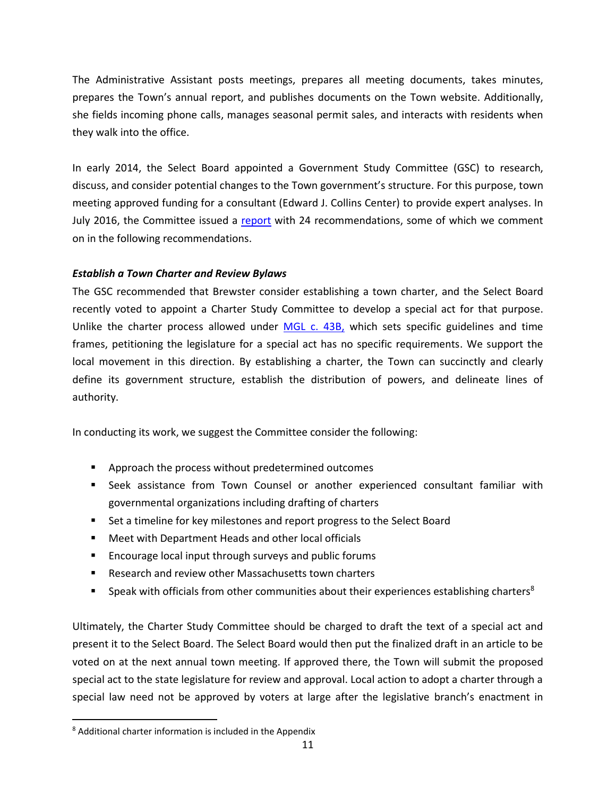The Administrative Assistant posts meetings, prepares all meeting documents, takes minutes, prepares the Town's annual report, and publishes documents on the Town website. Additionally, she fields incoming phone calls, manages seasonal permit sales, and interacts with residents when they walk into the office.

In early 2014, the Select Board appointed a Government Study Committee (GSC) to research, discuss, and consider potential changes to the Town government's structure. For this purpose, town meeting approved funding for a consultant (Edward J. Collins Center) to provide expert analyses. In July 2016, the Committee issued a [report](https://www.brewster-ma.gov/files/govstudyrpt.pdf) with 24 recommendations, some of which we comment on in the following recommendations.

## <span id="page-16-0"></span>*Establish a Town Charter and Review Bylaws*

The GSC recommended that Brewster consider establishing a town charter, and the Select Board recently voted to appoint a Charter Study Committee to develop a special act for that purpose. Unlike the charter process allowed under [MGL c. 43B,](https://malegislature.gov/Laws/GeneralLaws/PartI/TitleVII/Chapter43B) which sets specific guidelines and time frames, petitioning the legislature for a special act has no specific requirements. We support the local movement in this direction. By establishing a charter, the Town can succinctly and clearly define its government structure, establish the distribution of powers, and delineate lines of authority.

In conducting its work, we suggest the Committee consider the following:

- Approach the process without predetermined outcomes
- Seek assistance from Town Counsel or another experienced consultant familiar with governmental organizations including drafting of charters
- Set a timeline for key milestones and report progress to the Select Board
- Meet with Department Heads and other local officials
- Encourage local input through surveys and public forums
- Research and review other Massachusetts town charters
- **•** Speak with officials from other communities about their experiences establishing charters<sup>8</sup>

Ultimately, the Charter Study Committee should be charged to draft the text of a special act and present it to the Select Board. The Select Board would then put the finalized draft in an article to be voted on at the next annual town meeting. If approved there, the Town will submit the proposed special act to the state legislature for review and approval. Local action to adopt a charter through a special law need not be approved by voters at large after the legislative branch's enactment in

 $\overline{a}$ 

<sup>8</sup> Additional charter information is included in the Appendix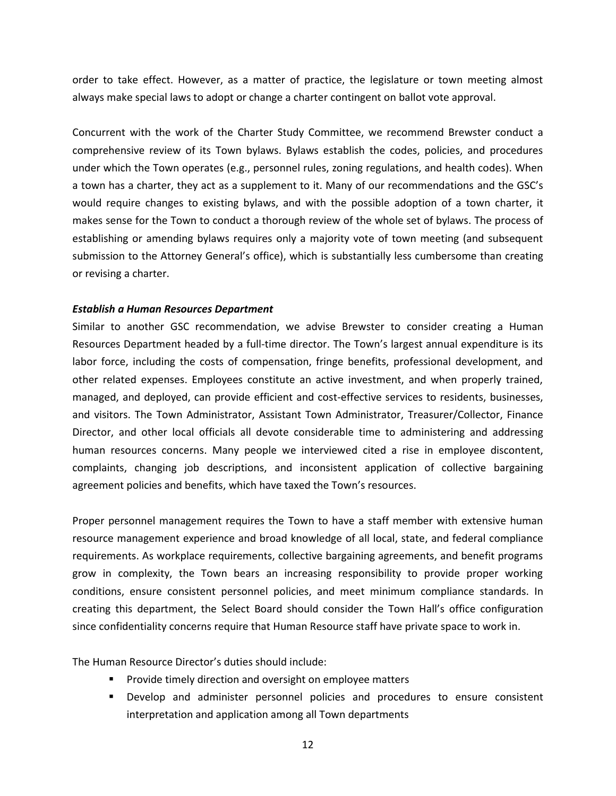order to take effect. However, as a matter of practice, the legislature or town meeting almost always make special laws to adopt or change a charter contingent on ballot vote approval.

Concurrent with the work of the Charter Study Committee, we recommend Brewster conduct a comprehensive review of its Town bylaws. Bylaws establish the codes, policies, and procedures under which the Town operates (e.g., personnel rules, zoning regulations, and health codes). When a town has a charter, they act as a supplement to it. Many of our recommendations and the GSC's would require changes to existing bylaws, and with the possible adoption of a town charter, it makes sense for the Town to conduct a thorough review of the whole set of bylaws. The process of establishing or amending bylaws requires only a majority vote of town meeting (and subsequent submission to the Attorney General's office), which is substantially less cumbersome than creating or revising a charter.

#### <span id="page-17-0"></span>*Establish a Human Resources Department*

Similar to another GSC recommendation, we advise Brewster to consider creating a Human Resources Department headed by a full-time director. The Town's largest annual expenditure is its labor force, including the costs of compensation, fringe benefits, professional development, and other related expenses. Employees constitute an active investment, and when properly trained, managed, and deployed, can provide efficient and cost-effective services to residents, businesses, and visitors. The Town Administrator, Assistant Town Administrator, Treasurer/Collector, Finance Director, and other local officials all devote considerable time to administering and addressing human resources concerns. Many people we interviewed cited a rise in employee discontent, complaints, changing job descriptions, and inconsistent application of collective bargaining agreement policies and benefits, which have taxed the Town's resources.

Proper personnel management requires the Town to have a staff member with extensive human resource management experience and broad knowledge of all local, state, and federal compliance requirements. As workplace requirements, collective bargaining agreements, and benefit programs grow in complexity, the Town bears an increasing responsibility to provide proper working conditions, ensure consistent personnel policies, and meet minimum compliance standards. In creating this department, the Select Board should consider the Town Hall's office configuration since confidentiality concerns require that Human Resource staff have private space to work in.

The Human Resource Director's duties should include:

- Provide timely direction and oversight on employee matters
- Develop and administer personnel policies and procedures to ensure consistent interpretation and application among all Town departments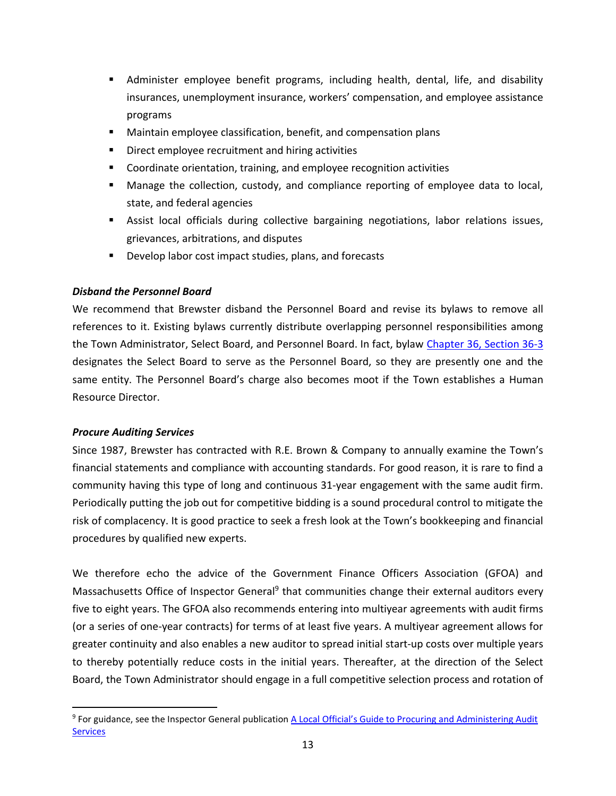- **E** Administer employee benefit programs, including health, dental, life, and disability insurances, unemployment insurance, workers' compensation, and employee assistance programs
- Maintain employee classification, benefit, and compensation plans
- Direct employee recruitment and hiring activities
- Coordinate orientation, training, and employee recognition activities
- Manage the collection, custody, and compliance reporting of employee data to local, state, and federal agencies
- Assist local officials during collective bargaining negotiations, labor relations issues, grievances, arbitrations, and disputes
- Develop labor cost impact studies, plans, and forecasts

## <span id="page-18-0"></span>*Disband the Personnel Board*

We recommend that Brewster disband the Personnel Board and revise its bylaws to remove all references to it. Existing bylaws currently distribute overlapping personnel responsibilities among the Town Administrator, Select Board, and Personnel Board. In fact, bylaw [Chapter 36, Section 36-3](https://www.ecode360.com/7605848) designates the Select Board to serve as the Personnel Board, so they are presently one and the same entity. The Personnel Board's charge also becomes moot if the Town establishes a Human Resource Director.

### <span id="page-18-1"></span>*Procure Auditing Services*

 $\overline{\phantom{a}}$ 

Since 1987, Brewster has contracted with R.E. Brown & Company to annually examine the Town's financial statements and compliance with accounting standards. For good reason, it is rare to find a community having this type of long and continuous 31-year engagement with the same audit firm. Periodically putting the job out for competitive bidding is a sound procedural control to mitigate the risk of complacency. It is good practice to seek a fresh look at the Town's bookkeeping and financial procedures by qualified new experts.

We therefore echo the advice of the Government Finance Officers Association (GFOA) and Massachusetts Office of Inspector General<sup>9</sup> that communities change their external auditors every five to eight years. The GFOA also recommends entering into multiyear agreements with audit firms (or a series of one-year contracts) for terms of at least five years. A multiyear agreement allows for greater continuity and also enables a new auditor to spread initial start-up costs over multiple years to thereby potentially reduce costs in the initial years. Thereafter, at the direction of the Select Board, the Town Administrator should engage in a full competitive selection process and rotation of

<sup>&</sup>lt;sup>9</sup> For guidance, see the Inspector General publication <u>A Local Official's Guide to Procuring and Administering Audit</u> **[Services](https://www.mass.gov/files/documents/2016/08/ub/audguide.pdf)**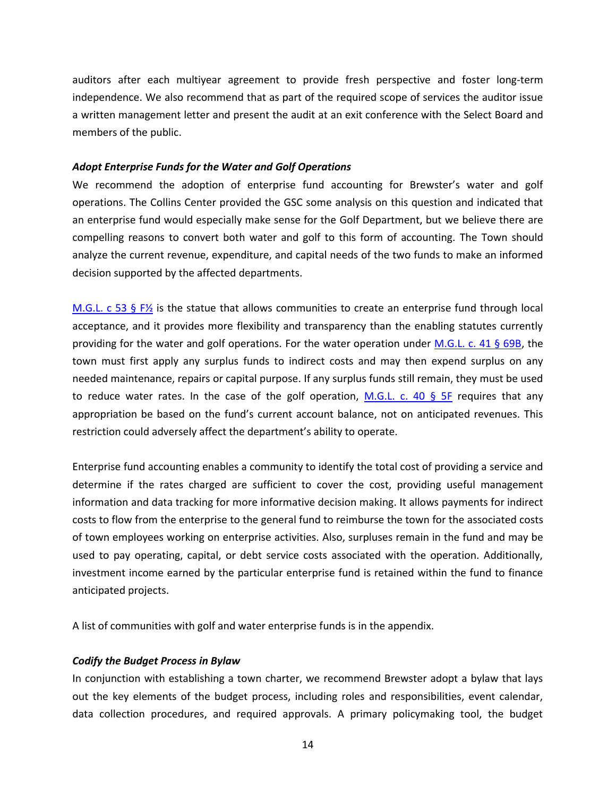auditors after each multiyear agreement to provide fresh perspective and foster long-term independence. We also recommend that as part of the required scope of services the auditor issue a written management letter and present the audit at an exit conference with the Select Board and members of the public.

#### <span id="page-19-0"></span>*Adopt Enterprise Funds for the Water and Golf Operations*

We recommend the adoption of enterprise fund accounting for Brewster's water and golf operations. The Collins Center provided the GSC some analysis on this question and indicated that an enterprise fund would especially make sense for the Golf Department, but we believe there are compelling reasons to convert both water and golf to this form of accounting. The Town should analyze the current revenue, expenditure, and capital needs of the two funds to make an informed decision supported by the affected departments.

M.G.L. c 53 § F $\frac{1}{2}$  is the statue that allows communities to create an enterprise fund through local acceptance, and it provides more flexibility and transparency than the enabling statutes currently providing for the water and golf operations. For the water operation under [M.G.L. c. 41 § 69B,](https://malegislature.gov/Laws/GeneralLaws/PartI/TitleVII/Chapter41/Section69B) the town must first apply any surplus funds to indirect costs and may then expend surplus on any needed maintenance, repairs or capital purpose. If any surplus funds still remain, they must be used to reduce water rates. In the case of the golf operation, [M.G.L. c. 40 § 5F](https://malegislature.gov/Laws/GeneralLaws/PartI/TitleVII/Chapter40/Section5F) requires that any appropriation be based on the fund's current account balance, not on anticipated revenues. This restriction could adversely affect the department's ability to operate.

Enterprise fund accounting enables a community to identify the total cost of providing a service and determine if the rates charged are sufficient to cover the cost, providing useful management information and data tracking for more informative decision making. It allows payments for indirect costs to flow from the enterprise to the general fund to reimburse the town for the associated costs of town employees working on enterprise activities. Also, surpluses remain in the fund and may be used to pay operating, capital, or debt service costs associated with the operation. Additionally, investment income earned by the particular enterprise fund is retained within the fund to finance anticipated projects.

A list of communities with golf and water enterprise funds is in the appendix.

#### <span id="page-19-1"></span>*Codify the Budget Process in Bylaw*

In conjunction with establishing a town charter, we recommend Brewster adopt a bylaw that lays out the key elements of the budget process, including roles and responsibilities, event calendar, data collection procedures, and required approvals. A primary policymaking tool, the budget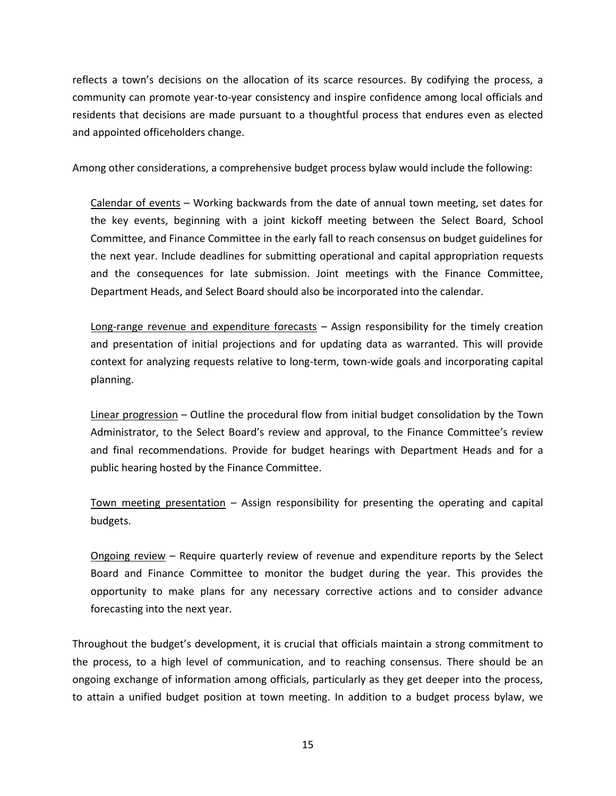reflects a town's decisions on the allocation of its scarce resources. By codifying the process, a community can promote year-to-year consistency and inspire confidence among local officials and residents that decisions are made pursuant to a thoughtful process that endures even as elected and appointed officeholders change.

Among other considerations, a comprehensive budget process bylaw would include the following:

Calendar of events – Working backwards from the date of annual town meeting, set dates for the key events, beginning with a joint kickoff meeting between the Select Board, School Committee, and Finance Committee in the early fall to reach consensus on budget guidelines for the next year. Include deadlines for submitting operational and capital appropriation requests and the consequences for late submission. Joint meetings with the Finance Committee, Department Heads, and Select Board should also be incorporated into the calendar.

Long-range revenue and expenditure forecasts – Assign responsibility for the timely creation and presentation of initial projections and for updating data as warranted. This will provide context for analyzing requests relative to long-term, town-wide goals and incorporating capital planning.

Linear progression – Outline the procedural flow from initial budget consolidation by the Town Administrator, to the Select Board's review and approval, to the Finance Committee's review and final recommendations. Provide for budget hearings with Department Heads and for a public hearing hosted by the Finance Committee.

Town meeting presentation – Assign responsibility for presenting the operating and capital budgets.

Ongoing review – Require quarterly review of revenue and expenditure reports by the Select Board and Finance Committee to monitor the budget during the year. This provides the opportunity to make plans for any necessary corrective actions and to consider advance forecasting into the next year.

Throughout the budget's development, it is crucial that officials maintain a strong commitment to the process, to a high level of communication, and to reaching consensus. There should be an ongoing exchange of information among officials, particularly as they get deeper into the process, to attain a unified budget position at town meeting. In addition to a budget process bylaw, we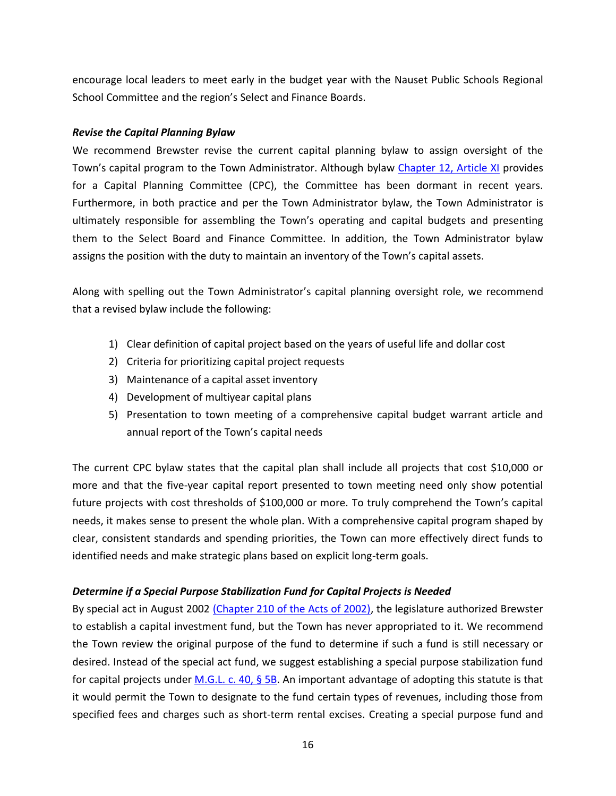encourage local leaders to meet early in the budget year with the Nauset Public Schools Regional School Committee and the region's Select and Finance Boards.

## <span id="page-21-0"></span>*Revise the Capital Planning Bylaw*

We recommend Brewster revise the current capital planning bylaw to assign oversight of the Town's capital program to the Town Administrator. Although bylaw [Chapter 12, Article XI](https://www.ecode360.com/7605776) provides for a Capital Planning Committee (CPC), the Committee has been dormant in recent years. Furthermore, in both practice and per the Town Administrator bylaw, the Town Administrator is ultimately responsible for assembling the Town's operating and capital budgets and presenting them to the Select Board and Finance Committee. In addition, the Town Administrator bylaw assigns the position with the duty to maintain an inventory of the Town's capital assets.

Along with spelling out the Town Administrator's capital planning oversight role, we recommend that a revised bylaw include the following:

- 1) Clear definition of capital project based on the years of useful life and dollar cost
- 2) Criteria for prioritizing capital project requests
- 3) Maintenance of a capital asset inventory
- 4) Development of multiyear capital plans
- 5) Presentation to town meeting of a comprehensive capital budget warrant article and annual report of the Town's capital needs

The current CPC bylaw states that the capital plan shall include all projects that cost \$10,000 or more and that the five-year capital report presented to town meeting need only show potential future projects with cost thresholds of \$100,000 or more. To truly comprehend the Town's capital needs, it makes sense to present the whole plan. With a comprehensive capital program shaped by clear, consistent standards and spending priorities, the Town can more effectively direct funds to identified needs and make strategic plans based on explicit long-term goals.

## <span id="page-21-1"></span>*Determine if a Special Purpose Stabilization Fund for Capital Projects is Needed*

By special act in August 2002 [\(Chapter 210 of the Acts of 2002\),](https://malegislature.gov/Laws/SessionLaws/Acts/2002/Chapter210) the legislature authorized Brewster to establish a capital investment fund, but the Town has never appropriated to it. We recommend the Town review the original purpose of the fund to determine if such a fund is still necessary or desired. Instead of the special act fund, we suggest establishing a special purpose stabilization fund for capital projects under [M.G.L. c. 40, § 5B.](https://malegislature.gov/Laws/GeneralLaws/PartI/TitleVII/Chapter40/Section5B) An important advantage of adopting this statute is that it would permit the Town to designate to the fund certain types of revenues, including those from specified fees and charges such as short-term rental excises. Creating a special purpose fund and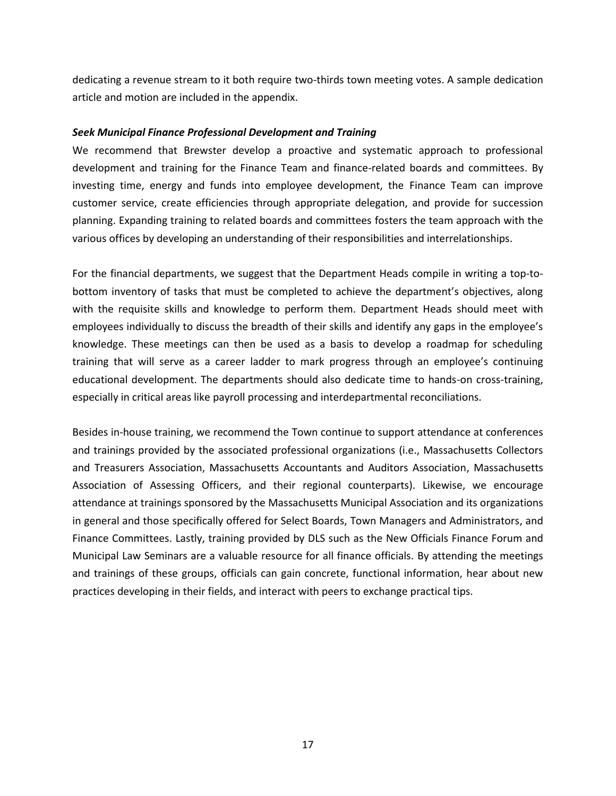dedicating a revenue stream to it both require two-thirds town meeting votes. A sample dedication article and motion are included in the appendix.

#### <span id="page-22-0"></span>*Seek Municipal Finance Professional Development and Training*

We recommend that Brewster develop a proactive and systematic approach to professional development and training for the Finance Team and finance-related boards and committees. By investing time, energy and funds into employee development, the Finance Team can improve customer service, create efficiencies through appropriate delegation, and provide for succession planning. Expanding training to related boards and committees fosters the team approach with the various offices by developing an understanding of their responsibilities and interrelationships.

For the financial departments, we suggest that the Department Heads compile in writing a top-tobottom inventory of tasks that must be completed to achieve the department's objectives, along with the requisite skills and knowledge to perform them. Department Heads should meet with employees individually to discuss the breadth of their skills and identify any gaps in the employee's knowledge. These meetings can then be used as a basis to develop a roadmap for scheduling training that will serve as a career ladder to mark progress through an employee's continuing educational development. The departments should also dedicate time to hands-on cross-training, especially in critical areas like payroll processing and interdepartmental reconciliations.

Besides in-house training, we recommend the Town continue to support attendance at conferences and trainings provided by the associated professional organizations (i.e., Massachusetts Collectors and Treasurers Association, Massachusetts Accountants and Auditors Association, Massachusetts Association of Assessing Officers, and their regional counterparts). Likewise, we encourage attendance at trainings sponsored by the Massachusetts Municipal Association and its organizations in general and those specifically offered for Select Boards, Town Managers and Administrators, and Finance Committees. Lastly, training provided by DLS such as the New Officials Finance Forum and Municipal Law Seminars are a valuable resource for all finance officials. By attending the meetings and trainings of these groups, officials can gain concrete, functional information, hear about new practices developing in their fields, and interact with peers to exchange practical tips.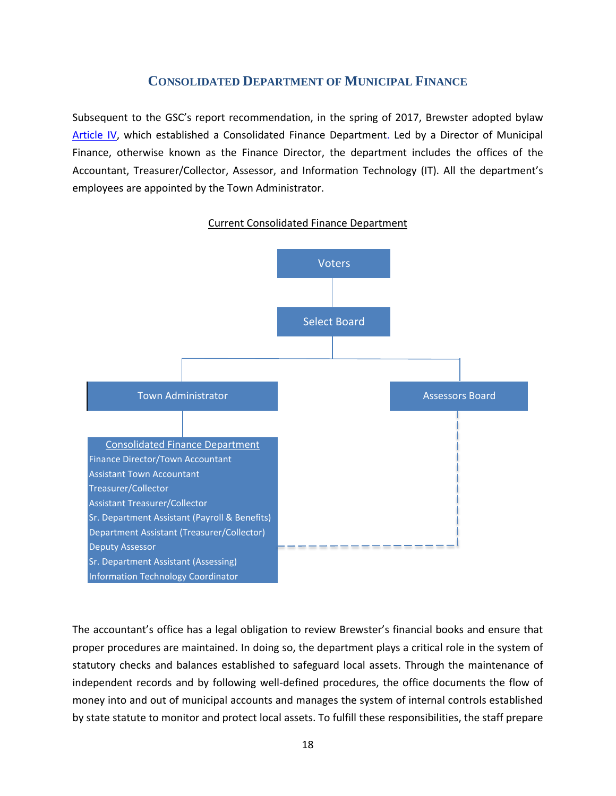## **CONSOLIDATED DEPARTMENT OF MUNICIPAL FINANCE**

<span id="page-23-0"></span>Subsequent to the GSC's report recommendation, in the spring of 2017, Brewster adopted bylaw [Article IV,](https://www.ecode360.com/32545638) which established a Consolidated Finance Department. Led by a Director of Municipal Finance, otherwise known as the Finance Director, the department includes the offices of the Accountant, Treasurer/Collector, Assessor, and Information Technology (IT). All the department's employees are appointed by the Town Administrator.



### Current Consolidated Finance Department

The accountant's office has a legal obligation to review Brewster's financial books and ensure that proper procedures are maintained. In doing so, the department plays a critical role in the system of statutory checks and balances established to safeguard local assets. Through the maintenance of independent records and by following well-defined procedures, the office documents the flow of money into and out of municipal accounts and manages the system of internal controls established by state statute to monitor and protect local assets. To fulfill these responsibilities, the staff prepare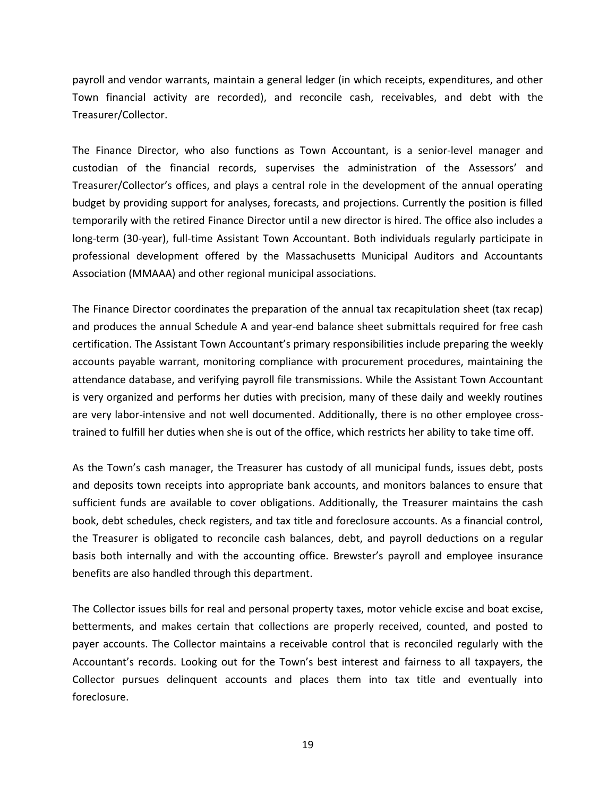payroll and vendor warrants, maintain a general ledger (in which receipts, expenditures, and other Town financial activity are recorded), and reconcile cash, receivables, and debt with the Treasurer/Collector.

The Finance Director, who also functions as Town Accountant, is a senior-level manager and custodian of the financial records, supervises the administration of the Assessors' and Treasurer/Collector's offices, and plays a central role in the development of the annual operating budget by providing support for analyses, forecasts, and projections. Currently the position is filled temporarily with the retired Finance Director until a new director is hired. The office also includes a long-term (30-year), full-time Assistant Town Accountant. Both individuals regularly participate in professional development offered by the Massachusetts Municipal Auditors and Accountants Association (MMAAA) and other regional municipal associations.

The Finance Director coordinates the preparation of the annual tax recapitulation sheet (tax recap) and produces the annual Schedule A and year-end balance sheet submittals required for free cash certification. The Assistant Town Accountant's primary responsibilities include preparing the weekly accounts payable warrant, monitoring compliance with procurement procedures, maintaining the attendance database, and verifying payroll file transmissions. While the Assistant Town Accountant is very organized and performs her duties with precision, many of these daily and weekly routines are very labor-intensive and not well documented. Additionally, there is no other employee crosstrained to fulfill her duties when she is out of the office, which restricts her ability to take time off.

As the Town's cash manager, the Treasurer has custody of all municipal funds, issues debt, posts and deposits town receipts into appropriate bank accounts, and monitors balances to ensure that sufficient funds are available to cover obligations. Additionally, the Treasurer maintains the cash book, debt schedules, check registers, and tax title and foreclosure accounts. As a financial control, the Treasurer is obligated to reconcile cash balances, debt, and payroll deductions on a regular basis both internally and with the accounting office. Brewster's payroll and employee insurance benefits are also handled through this department.

The Collector issues bills for real and personal property taxes, motor vehicle excise and boat excise, betterments, and makes certain that collections are properly received, counted, and posted to payer accounts. The Collector maintains a receivable control that is reconciled regularly with the Accountant's records. Looking out for the Town's best interest and fairness to all taxpayers, the Collector pursues delinquent accounts and places them into tax title and eventually into foreclosure.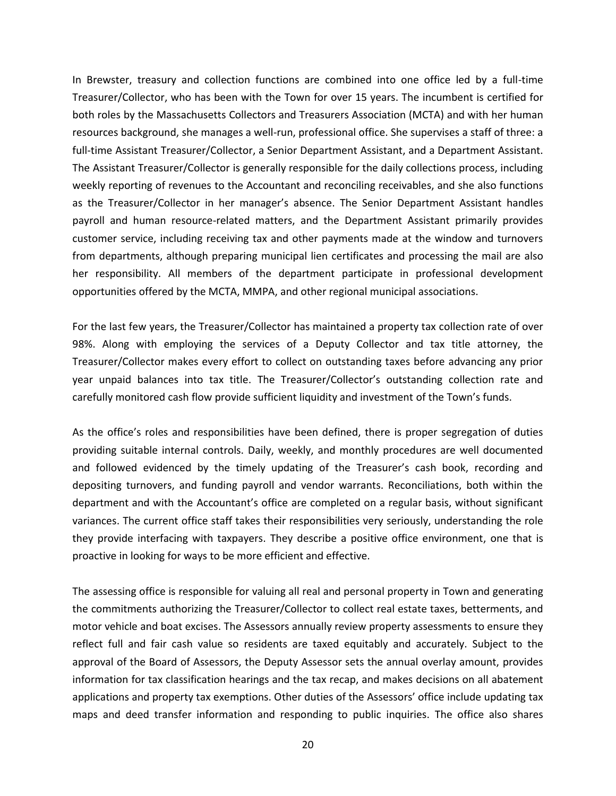In Brewster, treasury and collection functions are combined into one office led by a full-time Treasurer/Collector, who has been with the Town for over 15 years. The incumbent is certified for both roles by the Massachusetts Collectors and Treasurers Association (MCTA) and with her human resources background, she manages a well-run, professional office. She supervises a staff of three: a full-time Assistant Treasurer/Collector, a Senior Department Assistant, and a Department Assistant. The Assistant Treasurer/Collector is generally responsible for the daily collections process, including weekly reporting of revenues to the Accountant and reconciling receivables, and she also functions as the Treasurer/Collector in her manager's absence. The Senior Department Assistant handles payroll and human resource-related matters, and the Department Assistant primarily provides customer service, including receiving tax and other payments made at the window and turnovers from departments, although preparing municipal lien certificates and processing the mail are also her responsibility. All members of the department participate in professional development opportunities offered by the MCTA, MMPA, and other regional municipal associations.

For the last few years, the Treasurer/Collector has maintained a property tax collection rate of over 98%. Along with employing the services of a Deputy Collector and tax title attorney, the Treasurer/Collector makes every effort to collect on outstanding taxes before advancing any prior year unpaid balances into tax title. The Treasurer/Collector's outstanding collection rate and carefully monitored cash flow provide sufficient liquidity and investment of the Town's funds.

As the office's roles and responsibilities have been defined, there is proper segregation of duties providing suitable internal controls. Daily, weekly, and monthly procedures are well documented and followed evidenced by the timely updating of the Treasurer's cash book, recording and depositing turnovers, and funding payroll and vendor warrants. Reconciliations, both within the department and with the Accountant's office are completed on a regular basis, without significant variances. The current office staff takes their responsibilities very seriously, understanding the role they provide interfacing with taxpayers. They describe a positive office environment, one that is proactive in looking for ways to be more efficient and effective.

The assessing office is responsible for valuing all real and personal property in Town and generating the commitments authorizing the Treasurer/Collector to collect real estate taxes, betterments, and motor vehicle and boat excises. The Assessors annually review property assessments to ensure they reflect full and fair cash value so residents are taxed equitably and accurately. Subject to the approval of the Board of Assessors, the Deputy Assessor sets the annual overlay amount, provides information for tax classification hearings and the tax recap, and makes decisions on all abatement applications and property tax exemptions. Other duties of the Assessors' office include updating tax maps and deed transfer information and responding to public inquiries. The office also shares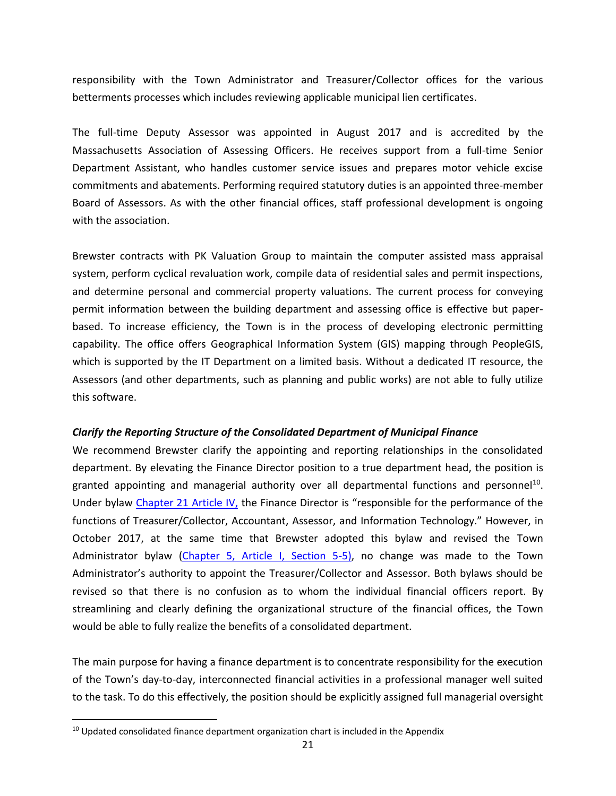responsibility with the Town Administrator and Treasurer/Collector offices for the various betterments processes which includes reviewing applicable municipal lien certificates.

The full-time Deputy Assessor was appointed in August 2017 and is accredited by the Massachusetts Association of Assessing Officers. He receives support from a full-time Senior Department Assistant, who handles customer service issues and prepares motor vehicle excise commitments and abatements. Performing required statutory duties is an appointed three-member Board of Assessors. As with the other financial offices, staff professional development is ongoing with the association.

Brewster contracts with PK Valuation Group to maintain the computer assisted mass appraisal system, perform cyclical revaluation work, compile data of residential sales and permit inspections, and determine personal and commercial property valuations. The current process for conveying permit information between the building department and assessing office is effective but paperbased. To increase efficiency, the Town is in the process of developing electronic permitting capability. The office offers Geographical Information System (GIS) mapping through PeopleGIS, which is supported by the IT Department on a limited basis. Without a dedicated IT resource, the Assessors (and other departments, such as planning and public works) are not able to fully utilize this software.

#### <span id="page-26-0"></span>*Clarify the Reporting Structure of the Consolidated Department of Municipal Finance*

We recommend Brewster clarify the appointing and reporting relationships in the consolidated department. By elevating the Finance Director position to a true department head, the position is granted appointing and managerial authority over all departmental functions and personnel<sup>10</sup>. Under bylaw [Chapter 21 Article IV,](https://www.ecode360.com/32545638) the Finance Director is "responsible for the performance of the functions of Treasurer/Collector, Accountant, Assessor, and Information Technology." However, in October 2017, at the same time that Brewster adopted this bylaw and revised the Town Administrator bylaw [\(Chapter 5, Article I, Section 5-5\)](https://www.ecode360.com/7605575), no change was made to the Town Administrator's authority to appoint the Treasurer/Collector and Assessor. Both bylaws should be revised so that there is no confusion as to whom the individual financial officers report. By streamlining and clearly defining the organizational structure of the financial offices, the Town would be able to fully realize the benefits of a consolidated department.

The main purpose for having a finance department is to concentrate responsibility for the execution of the Town's day-to-day, interconnected financial activities in a professional manager well suited to the task. To do this effectively, the position should be explicitly assigned full managerial oversight

 $\overline{a}$ 

 $10$  Updated consolidated finance department organization chart is included in the Appendix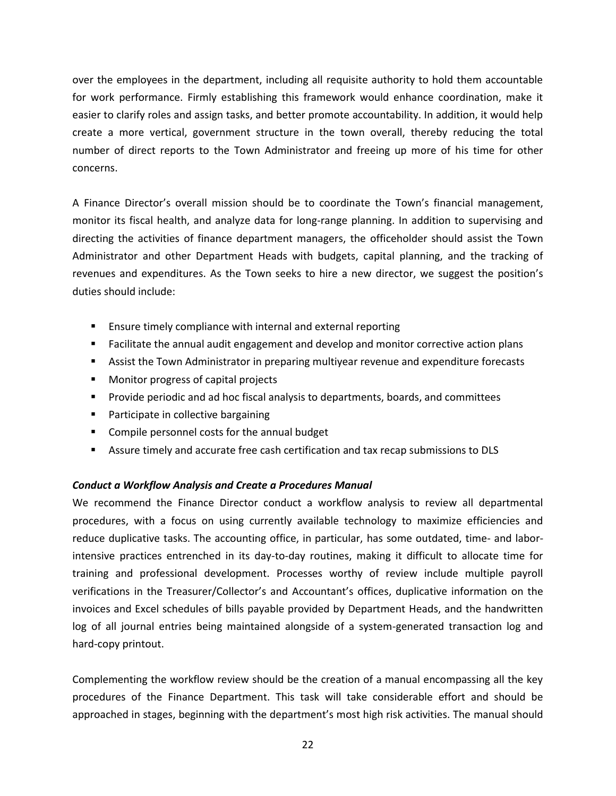over the employees in the department, including all requisite authority to hold them accountable for work performance. Firmly establishing this framework would enhance coordination, make it easier to clarify roles and assign tasks, and better promote accountability. In addition, it would help create a more vertical, government structure in the town overall, thereby reducing the total number of direct reports to the Town Administrator and freeing up more of his time for other concerns.

A Finance Director's overall mission should be to coordinate the Town's financial management, monitor its fiscal health, and analyze data for long-range planning. In addition to supervising and directing the activities of finance department managers, the officeholder should assist the Town Administrator and other Department Heads with budgets, capital planning, and the tracking of revenues and expenditures. As the Town seeks to hire a new director, we suggest the position's duties should include:

- Ensure timely compliance with internal and external reporting
- Facilitate the annual audit engagement and develop and monitor corrective action plans
- Assist the Town Administrator in preparing multiyear revenue and expenditure forecasts
- Monitor progress of capital projects
- Provide periodic and ad hoc fiscal analysis to departments, boards, and committees
- Participate in collective bargaining
- Compile personnel costs for the annual budget
- Assure timely and accurate free cash certification and tax recap submissions to DLS

## <span id="page-27-0"></span>*Conduct a Workflow Analysis and Create a Procedures Manual*

We recommend the Finance Director conduct a workflow analysis to review all departmental procedures, with a focus on using currently available technology to maximize efficiencies and reduce duplicative tasks. The accounting office, in particular, has some outdated, time- and laborintensive practices entrenched in its day-to-day routines, making it difficult to allocate time for training and professional development. Processes worthy of review include multiple payroll verifications in the Treasurer/Collector's and Accountant's offices, duplicative information on the invoices and Excel schedules of bills payable provided by Department Heads, and the handwritten log of all journal entries being maintained alongside of a system-generated transaction log and hard-copy printout.

Complementing the workflow review should be the creation of a manual encompassing all the key procedures of the Finance Department. This task will take considerable effort and should be approached in stages, beginning with the department's most high risk activities. The manual should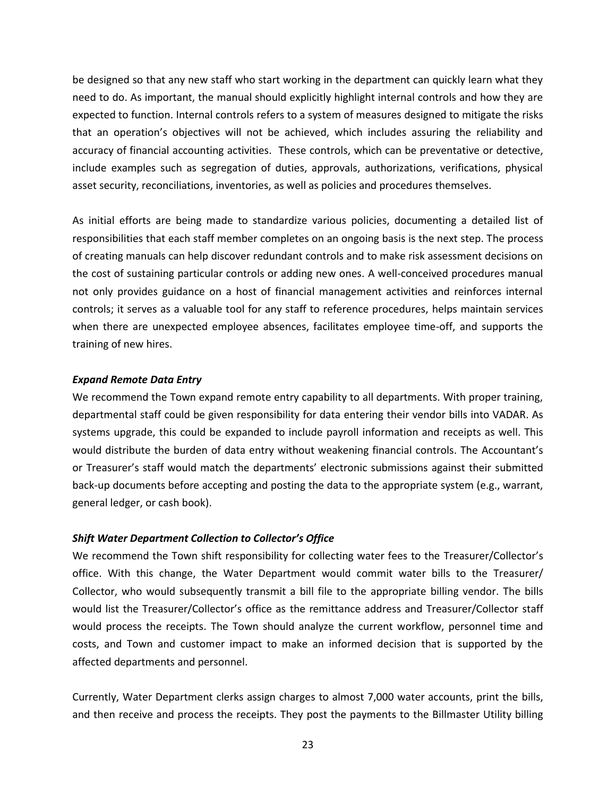be designed so that any new staff who start working in the department can quickly learn what they need to do. As important, the manual should explicitly highlight internal controls and how they are expected to function. Internal controls refers to a system of measures designed to mitigate the risks that an operation's objectives will not be achieved, which includes assuring the reliability and accuracy of financial accounting activities. These controls, which can be preventative or detective, include examples such as segregation of duties, approvals, authorizations, verifications, physical asset security, reconciliations, inventories, as well as policies and procedures themselves.

As initial efforts are being made to standardize various policies, documenting a detailed list of responsibilities that each staff member completes on an ongoing basis is the next step. The process of creating manuals can help discover redundant controls and to make risk assessment decisions on the cost of sustaining particular controls or adding new ones. A well-conceived procedures manual not only provides guidance on a host of financial management activities and reinforces internal controls; it serves as a valuable tool for any staff to reference procedures, helps maintain services when there are unexpected employee absences, facilitates employee time-off, and supports the training of new hires.

#### <span id="page-28-0"></span>*Expand Remote Data Entry*

We recommend the Town expand remote entry capability to all departments. With proper training, departmental staff could be given responsibility for data entering their vendor bills into VADAR. As systems upgrade, this could be expanded to include payroll information and receipts as well. This would distribute the burden of data entry without weakening financial controls. The Accountant's or Treasurer's staff would match the departments' electronic submissions against their submitted back-up documents before accepting and posting the data to the appropriate system (e.g., warrant, general ledger, or cash book).

#### <span id="page-28-1"></span>*Shift Water Department Collection to Collector's Office*

We recommend the Town shift responsibility for collecting water fees to the Treasurer/Collector's office. With this change, the Water Department would commit water bills to the Treasurer/ Collector, who would subsequently transmit a bill file to the appropriate billing vendor. The bills would list the Treasurer/Collector's office as the remittance address and Treasurer/Collector staff would process the receipts. The Town should analyze the current workflow, personnel time and costs, and Town and customer impact to make an informed decision that is supported by the affected departments and personnel.

Currently, Water Department clerks assign charges to almost 7,000 water accounts, print the bills, and then receive and process the receipts. They post the payments to the Billmaster Utility billing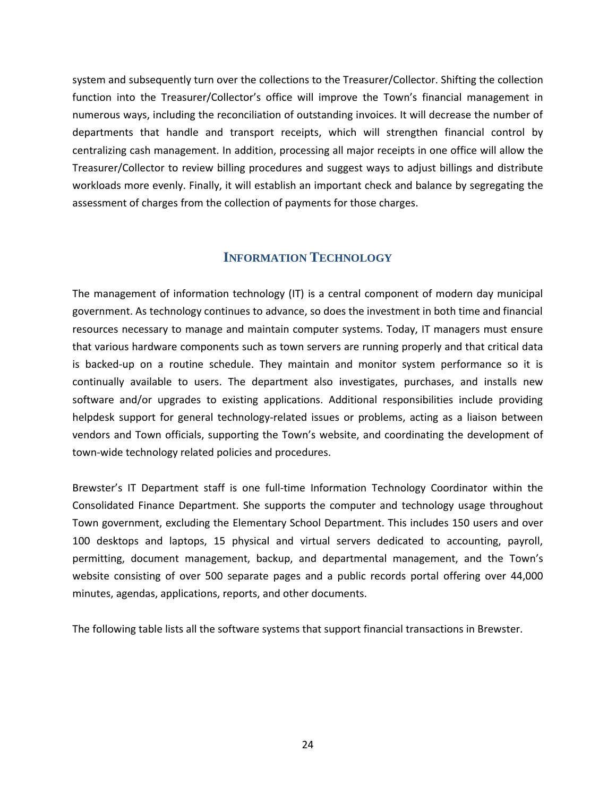system and subsequently turn over the collections to the Treasurer/Collector. Shifting the collection function into the Treasurer/Collector's office will improve the Town's financial management in numerous ways, including the reconciliation of outstanding invoices. It will decrease the number of departments that handle and transport receipts, which will strengthen financial control by centralizing cash management. In addition, processing all major receipts in one office will allow the Treasurer/Collector to review billing procedures and suggest ways to adjust billings and distribute workloads more evenly. Finally, it will establish an important check and balance by segregating the assessment of charges from the collection of payments for those charges.

## **INFORMATION TECHNOLOGY**

<span id="page-29-0"></span>The management of information technology (IT) is a central component of modern day municipal government. As technology continues to advance, so does the investment in both time and financial resources necessary to manage and maintain computer systems. Today, IT managers must ensure that various hardware components such as town servers are running properly and that critical data is backed-up on a routine schedule. They maintain and monitor system performance so it is continually available to users. The department also investigates, purchases, and installs new software and/or upgrades to existing applications. Additional responsibilities include providing helpdesk support for general technology-related issues or problems, acting as a liaison between vendors and Town officials, supporting the Town's website, and coordinating the development of town-wide technology related policies and procedures.

Brewster's IT Department staff is one full-time Information Technology Coordinator within the Consolidated Finance Department. She supports the computer and technology usage throughout Town government, excluding the Elementary School Department. This includes 150 users and over 100 desktops and laptops, 15 physical and virtual servers dedicated to accounting, payroll, permitting, document management, backup, and departmental management, and the Town's website consisting of over 500 separate pages and a public records portal offering over 44,000 minutes, agendas, applications, reports, and other documents.

The following table lists all the software systems that support financial transactions in Brewster.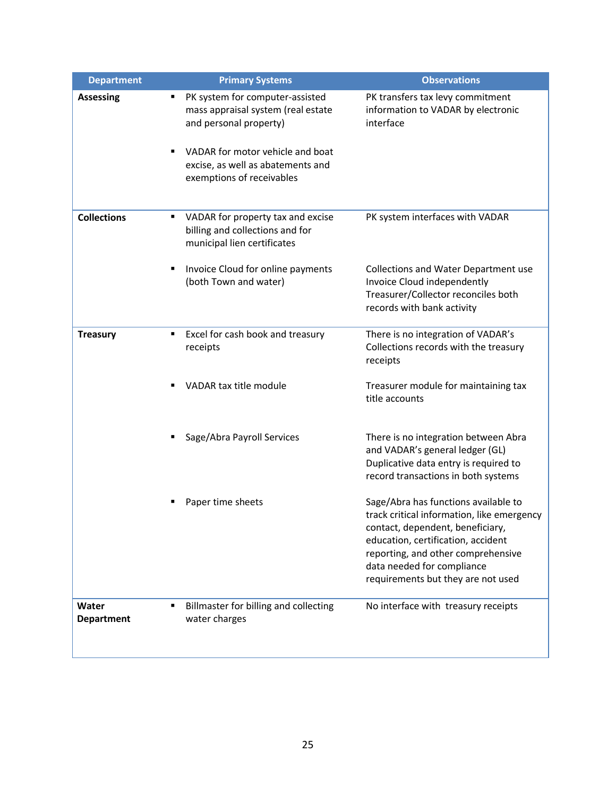| <b>Department</b>          | <b>Primary Systems</b>                                                                                                                                                                                     | <b>Observations</b>                                                                                                                                                                                                                                                    |
|----------------------------|------------------------------------------------------------------------------------------------------------------------------------------------------------------------------------------------------------|------------------------------------------------------------------------------------------------------------------------------------------------------------------------------------------------------------------------------------------------------------------------|
| <b>Assessing</b>           | PK system for computer-assisted<br>mass appraisal system (real estate<br>and personal property)<br>VADAR for motor vehicle and boat<br>٠<br>excise, as well as abatements and<br>exemptions of receivables | PK transfers tax levy commitment<br>information to VADAR by electronic<br>interface                                                                                                                                                                                    |
| <b>Collections</b>         | VADAR for property tax and excise<br>billing and collections and for<br>municipal lien certificates                                                                                                        | PK system interfaces with VADAR                                                                                                                                                                                                                                        |
|                            | Invoice Cloud for online payments<br>٠<br>(both Town and water)                                                                                                                                            | Collections and Water Department use<br>Invoice Cloud independently<br>Treasurer/Collector reconciles both<br>records with bank activity                                                                                                                               |
| <b>Treasury</b>            | Excel for cash book and treasury<br>٠<br>receipts                                                                                                                                                          | There is no integration of VADAR's<br>Collections records with the treasury<br>receipts                                                                                                                                                                                |
|                            | VADAR tax title module                                                                                                                                                                                     | Treasurer module for maintaining tax<br>title accounts                                                                                                                                                                                                                 |
|                            | Sage/Abra Payroll Services                                                                                                                                                                                 | There is no integration between Abra<br>and VADAR's general ledger (GL)<br>Duplicative data entry is required to<br>record transactions in both systems                                                                                                                |
|                            | Paper time sheets                                                                                                                                                                                          | Sage/Abra has functions available to<br>track critical information, like emergency<br>contact, dependent, beneficiary,<br>education, certification, accident<br>reporting, and other comprehensive<br>data needed for compliance<br>requirements but they are not used |
| Water<br><b>Department</b> | Billmaster for billing and collecting<br>water charges                                                                                                                                                     | No interface with treasury receipts                                                                                                                                                                                                                                    |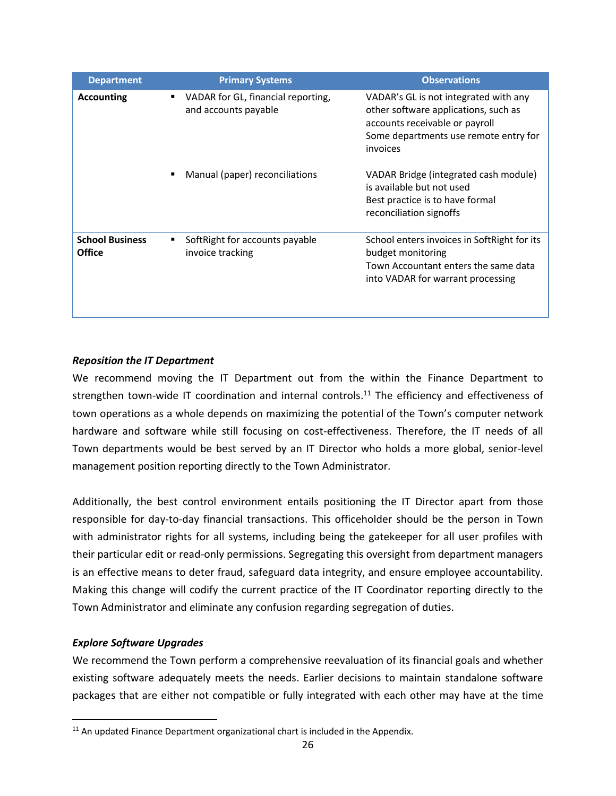| <b>Department</b>                | <b>Primary Systems</b>                                          | <b>Observations</b>                                                                                                                                                  |
|----------------------------------|-----------------------------------------------------------------|----------------------------------------------------------------------------------------------------------------------------------------------------------------------|
| <b>Accounting</b>                | VADAR for GL, financial reporting,<br>٠<br>and accounts payable | VADAR's GL is not integrated with any<br>other software applications, such as<br>accounts receivable or payroll<br>Some departments use remote entry for<br>invoices |
|                                  | Manual (paper) reconciliations                                  | VADAR Bridge (integrated cash module)<br>is available but not used<br>Best practice is to have formal<br>reconciliation signoffs                                     |
| <b>School Business</b><br>Office | Soft Right for accounts payable<br>invoice tracking             | School enters invoices in SoftRight for its<br>budget monitoring<br>Town Accountant enters the same data<br>into VADAR for warrant processing                        |

## <span id="page-31-0"></span>*Reposition the IT Department*

We recommend moving the IT Department out from the within the Finance Department to strengthen town-wide IT coordination and internal controls.<sup>11</sup> The efficiency and effectiveness of town operations as a whole depends on maximizing the potential of the Town's computer network hardware and software while still focusing on cost-effectiveness. Therefore, the IT needs of all Town departments would be best served by an IT Director who holds a more global, senior-level management position reporting directly to the Town Administrator.

Additionally, the best control environment entails positioning the IT Director apart from those responsible for day-to-day financial transactions. This officeholder should be the person in Town with administrator rights for all systems, including being the gatekeeper for all user profiles with their particular edit or read-only permissions. Segregating this oversight from department managers is an effective means to deter fraud, safeguard data integrity, and ensure employee accountability. Making this change will codify the current practice of the IT Coordinator reporting directly to the Town Administrator and eliminate any confusion regarding segregation of duties.

### <span id="page-31-1"></span>*Explore Software Upgrades*

 $\overline{a}$ 

We recommend the Town perform a comprehensive reevaluation of its financial goals and whether existing software adequately meets the needs. Earlier decisions to maintain standalone software packages that are either not compatible or fully integrated with each other may have at the time

 $11$  An updated Finance Department organizational chart is included in the Appendix.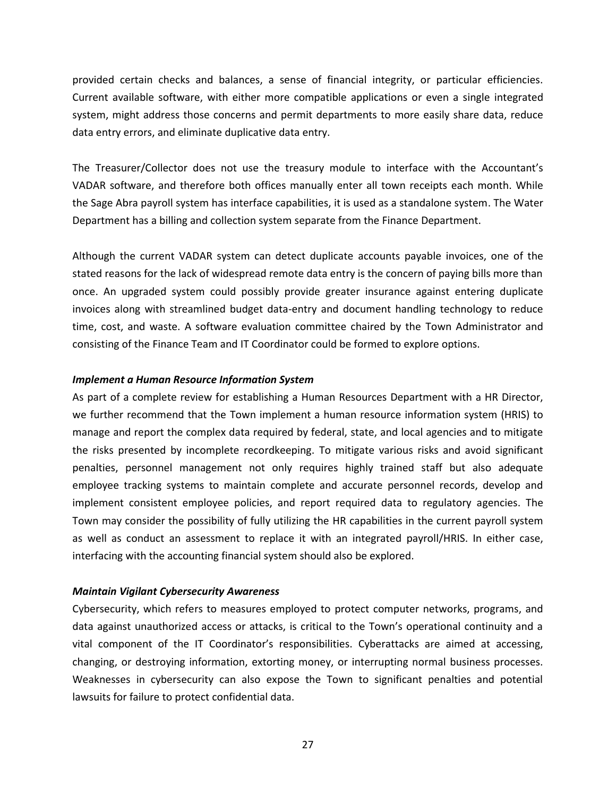provided certain checks and balances, a sense of financial integrity, or particular efficiencies. Current available software, with either more compatible applications or even a single integrated system, might address those concerns and permit departments to more easily share data, reduce data entry errors, and eliminate duplicative data entry.

The Treasurer/Collector does not use the treasury module to interface with the Accountant's VADAR software, and therefore both offices manually enter all town receipts each month. While the Sage Abra payroll system has interface capabilities, it is used as a standalone system. The Water Department has a billing and collection system separate from the Finance Department.

Although the current VADAR system can detect duplicate accounts payable invoices, one of the stated reasons for the lack of widespread remote data entry is the concern of paying bills more than once. An upgraded system could possibly provide greater insurance against entering duplicate invoices along with streamlined budget data-entry and document handling technology to reduce time, cost, and waste. A software evaluation committee chaired by the Town Administrator and consisting of the Finance Team and IT Coordinator could be formed to explore options.

#### <span id="page-32-0"></span>*Implement a Human Resource Information System*

As part of a complete review for establishing a Human Resources Department with a HR Director, we further recommend that the Town implement a human resource information system (HRIS) to manage and report the complex data required by federal, state, and local agencies and to mitigate the risks presented by incomplete recordkeeping. To mitigate various risks and avoid significant penalties, personnel management not only requires highly trained staff but also adequate employee tracking systems to maintain complete and accurate personnel records, develop and implement consistent employee policies, and report required data to regulatory agencies. The Town may consider the possibility of fully utilizing the HR capabilities in the current payroll system as well as conduct an assessment to replace it with an integrated payroll/HRIS. In either case, interfacing with the accounting financial system should also be explored.

#### <span id="page-32-1"></span>*Maintain Vigilant Cybersecurity Awareness*

Cybersecurity, which refers to measures employed to protect computer networks, programs, and data against unauthorized access or attacks, is critical to the Town's operational continuity and a vital component of the IT Coordinator's responsibilities. Cyberattacks are aimed at accessing, changing, or destroying information, extorting money, or interrupting normal business processes. Weaknesses in cybersecurity can also expose the Town to significant penalties and potential lawsuits for failure to protect confidential data.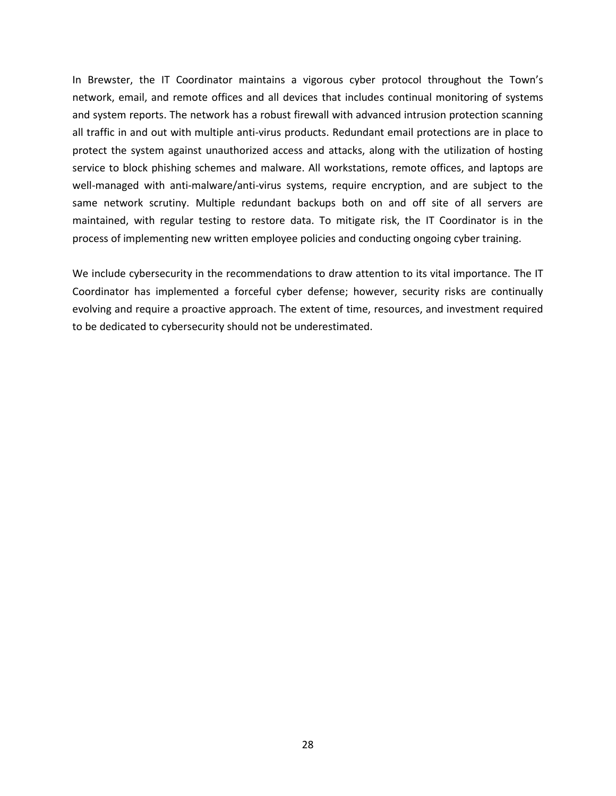In Brewster, the IT Coordinator maintains a vigorous cyber protocol throughout the Town's network, email, and remote offices and all devices that includes continual monitoring of systems and system reports. The network has a robust firewall with advanced intrusion protection scanning all traffic in and out with multiple anti-virus products. Redundant email protections are in place to protect the system against unauthorized access and attacks, along with the utilization of hosting service to block phishing schemes and malware. All workstations, remote offices, and laptops are well-managed with anti-malware/anti-virus systems, require encryption, and are subject to the same network scrutiny. Multiple redundant backups both on and off site of all servers are maintained, with regular testing to restore data. To mitigate risk, the IT Coordinator is in the process of implementing new written employee policies and conducting ongoing cyber training.

We include cybersecurity in the recommendations to draw attention to its vital importance. The IT Coordinator has implemented a forceful cyber defense; however, security risks are continually evolving and require a proactive approach. The extent of time, resources, and investment required to be dedicated to cybersecurity should not be underestimated.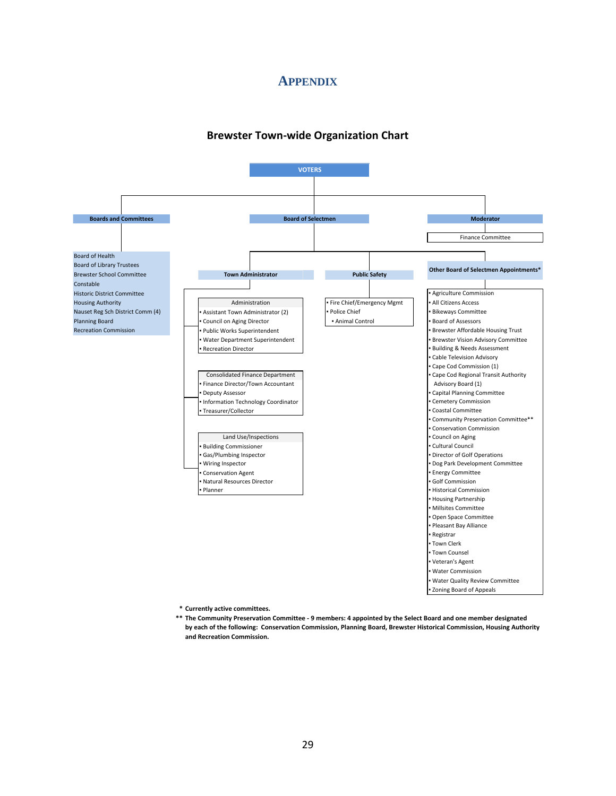## **APPENDIX**

#### **Brewster Town-wide Organization Chart**

<span id="page-34-1"></span><span id="page-34-0"></span>

**\* Currently active committees.** 

**\*\* The Community Preservation Committee - 9 members: 4 appointed by the Select Board and one member designated by each of the following: Conservation Commission, Planning Board, Brewster Historical Commission, Housing Authority and Recreation Commission.**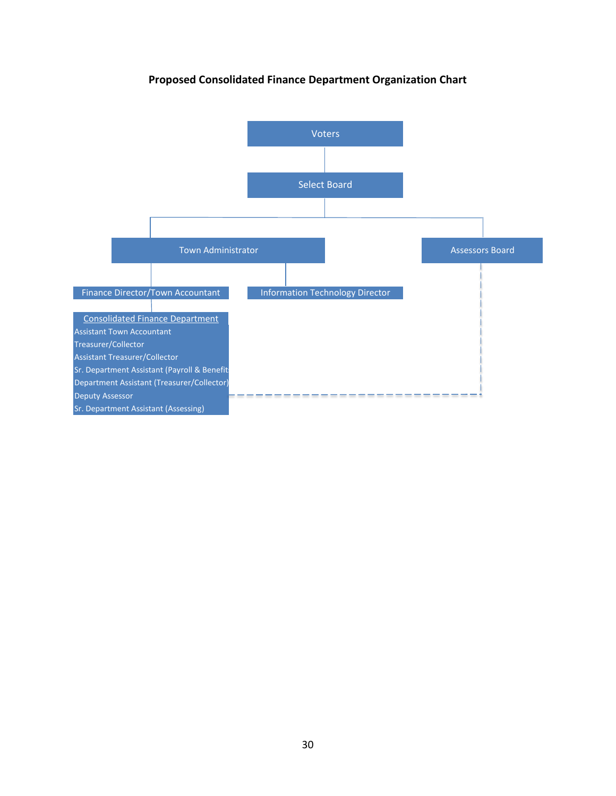<span id="page-35-0"></span>

## **Proposed Consolidated Finance Department Organization Chart**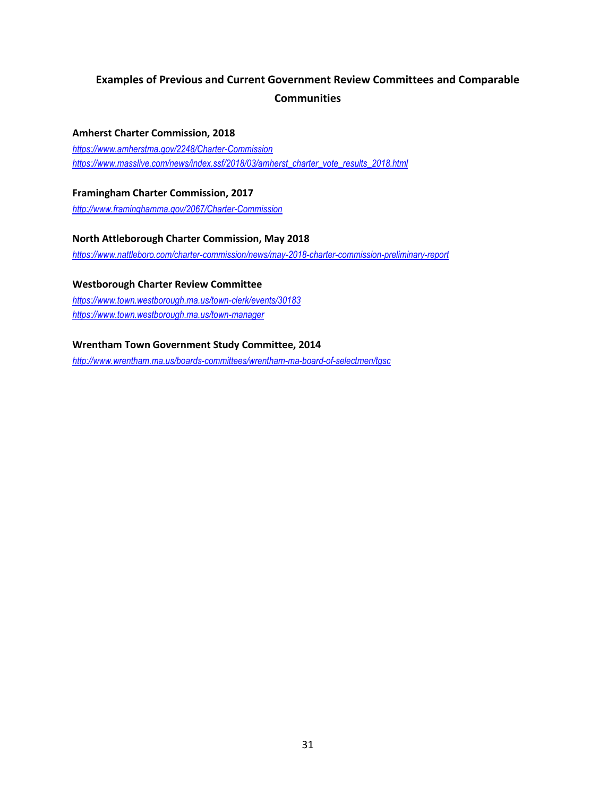# <span id="page-36-0"></span>**Examples of Previous and Current Government Review Committees and Comparable Communities**

#### **Amherst Charter Commission, 2018**

*<https://www.amherstma.gov/2248/Charter-Commission> [https://www.masslive.com/news/index.ssf/2018/03/amherst\\_charter\\_vote\\_results\\_2018.html](https://www.masslive.com/news/index.ssf/2018/03/amherst_charter_vote_results_2018.html)*

### **Framingham Charter Commission, 2017**

*<http://www.framinghamma.gov/2067/Charter-Commission>*

## **North Attleborough Charter Commission, May 2018** *<https://www.nattleboro.com/charter-commission/news/may-2018-charter-commission-preliminary-report>*

## **Westborough Charter Review Committee**

*<https://www.town.westborough.ma.us/town-clerk/events/30183> <https://www.town.westborough.ma.us/town-manager>*

### **Wrentham Town Government Study Committee, 2014**

*<http://www.wrentham.ma.us/boards-committees/wrentham-ma-board-of-selectmen/tgsc>*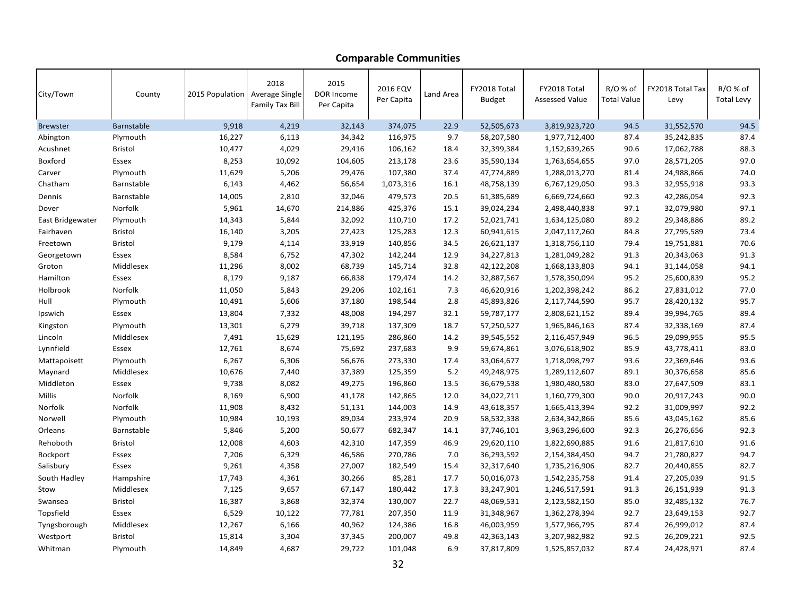| City/Town        | County         | 2015 Population Average Single | 2018<br><b>Family Tax Bill</b> | 2015<br>DOR Income<br>Per Capita | 2016 EQV<br>Per Capita | Land Area | FY2018 Total<br><b>Budget</b> | FY2018 Total<br><b>Assessed Value</b> | $R/O$ % of<br><b>Total Value</b> | FY2018 Total Tax<br>Levy | R/O % of<br><b>Total Levy</b> |
|------------------|----------------|--------------------------------|--------------------------------|----------------------------------|------------------------|-----------|-------------------------------|---------------------------------------|----------------------------------|--------------------------|-------------------------------|
| <b>Brewster</b>  | Barnstable     | 9,918                          | 4,219                          | 32,143                           | 374,075                | 22.9      | 52,505,673                    | 3,819,923,720                         | 94.5                             | 31,552,570               | 94.5                          |
| Abington         | Plymouth       | 16,227                         | 6,113                          | 34,342                           | 116,975                | 9.7       | 58,207,580                    | 1,977,712,400                         | 87.4                             | 35,242,835               | 87.4                          |
| Acushnet         | <b>Bristol</b> | 10,477                         | 4,029                          | 29,416                           | 106,162                | 18.4      | 32,399,384                    | 1,152,639,265                         | 90.6                             | 17,062,788               | 88.3                          |
| Boxford          | Essex          | 8,253                          | 10,092                         | 104,605                          | 213,178                | 23.6      | 35,590,134                    | 1,763,654,655                         | 97.0                             | 28,571,205               | 97.0                          |
| Carver           | Plymouth       | 11,629                         | 5,206                          | 29,476                           | 107,380                | 37.4      | 47,774,889                    | 1,288,013,270                         | 81.4                             | 24,988,866               | 74.0                          |
| Chatham          | Barnstable     | 6,143                          | 4,462                          | 56,654                           | 1,073,316              | 16.1      | 48,758,139                    | 6,767,129,050                         | 93.3                             | 32,955,918               | 93.3                          |
| Dennis           | Barnstable     | 14,005                         | 2,810                          | 32,046                           | 479,573                | 20.5      | 61,385,689                    | 6,669,724,660                         | 92.3                             | 42,286,054               | 92.3                          |
| Dover            | Norfolk        | 5,961                          | 14,670                         | 214,886                          | 425,376                | 15.1      | 39,024,234                    | 2,498,440,838                         | 97.1                             | 32,079,980               | 97.1                          |
| East Bridgewater | Plymouth       | 14,343                         | 5,844                          | 32,092                           | 110,710                | 17.2      | 52,021,741                    | 1,634,125,080                         | 89.2                             | 29,348,886               | 89.2                          |
| Fairhaven        | <b>Bristol</b> | 16,140                         | 3,205                          | 27,423                           | 125,283                | 12.3      | 60,941,615                    | 2,047,117,260                         | 84.8                             | 27,795,589               | 73.4                          |
| Freetown         | <b>Bristol</b> | 9,179                          | 4,114                          | 33,919                           | 140,856                | 34.5      | 26,621,137                    | 1,318,756,110                         | 79.4                             | 19,751,881               | 70.6                          |
| Georgetown       | Essex          | 8,584                          | 6,752                          | 47,302                           | 142,244                | 12.9      | 34,227,813                    | 1,281,049,282                         | 91.3                             | 20,343,063               | 91.3                          |
| Groton           | Middlesex      | 11,296                         | 8,002                          | 68,739                           | 145,714                | 32.8      | 42,122,208                    | 1,668,133,803                         | 94.1                             | 31,144,058               | 94.1                          |
| Hamilton         | Essex          | 8,179                          | 9,187                          | 66,838                           | 179,474                | 14.2      | 32,887,567                    | 1,578,350,094                         | 95.2                             | 25,600,839               | 95.2                          |
| Holbrook         | Norfolk        | 11,050                         | 5,843                          | 29,206                           | 102,161                | 7.3       | 46,620,916                    | 1,202,398,242                         | 86.2                             | 27,831,012               | 77.0                          |
| Hull             | Plymouth       | 10,491                         | 5,606                          | 37,180                           | 198,544                | 2.8       | 45,893,826                    | 2,117,744,590                         | 95.7                             | 28,420,132               | 95.7                          |
| Ipswich          | Essex          | 13,804                         | 7,332                          | 48,008                           | 194,297                | 32.1      | 59,787,177                    | 2,808,621,152                         | 89.4                             | 39,994,765               | 89.4                          |
| Kingston         | Plymouth       | 13,301                         | 6,279                          | 39,718                           | 137,309                | 18.7      | 57,250,527                    | 1,965,846,163                         | 87.4                             | 32,338,169               | 87.4                          |
| Lincoln          | Middlesex      | 7,491                          | 15,629                         | 121,195                          | 286,860                | 14.2      | 39,545,552                    | 2,116,457,949                         | 96.5                             | 29,099,955               | 95.5                          |
| Lynnfield        | Essex          | 12,761                         | 8,674                          | 75,692                           | 237,683                | 9.9       | 59,674,861                    | 3,076,618,902                         | 85.9                             | 43,778,411               | 83.0                          |
| Mattapoisett     | Plymouth       | 6,267                          | 6,306                          | 56,676                           | 273,330                | 17.4      | 33,064,677                    | 1,718,098,797                         | 93.6                             | 22,369,646               | 93.6                          |
| Maynard          | Middlesex      | 10,676                         | 7,440                          | 37,389                           | 125,359                | 5.2       | 49,248,975                    | 1,289,112,607                         | 89.1                             | 30,376,658               | 85.6                          |
| Middleton        | Essex          | 9,738                          | 8,082                          | 49,275                           | 196,860                | 13.5      | 36,679,538                    | 1,980,480,580                         | 83.0                             | 27,647,509               | 83.1                          |
| Millis           | Norfolk        | 8,169                          | 6,900                          | 41,178                           | 142,865                | 12.0      | 34,022,711                    | 1,160,779,300                         | 90.0                             | 20,917,243               | 90.0                          |
| Norfolk          | Norfolk        | 11,908                         | 8,432                          | 51,131                           | 144,003                | 14.9      | 43,618,357                    | 1,665,413,394                         | 92.2                             | 31,009,997               | 92.2                          |
| Norwell          | Plymouth       | 10,984                         | 10,193                         | 89,034                           | 233,974                | 20.9      | 58,532,338                    | 2,634,342,866                         | 85.6                             | 43,045,162               | 85.6                          |
| Orleans          | Barnstable     | 5,846                          | 5,200                          | 50,677                           | 682,347                | 14.1      | 37,746,101                    | 3,963,296,600                         | 92.3                             | 26,276,656               | 92.3                          |
| Rehoboth         | <b>Bristol</b> | 12,008                         | 4,603                          | 42,310                           | 147,359                | 46.9      | 29,620,110                    | 1,822,690,885                         | 91.6                             | 21,817,610               | 91.6                          |
| Rockport         | Essex          | 7,206                          | 6,329                          | 46,586                           | 270,786                | 7.0       | 36,293,592                    | 2,154,384,450                         | 94.7                             | 21,780,827               | 94.7                          |
| Salisbury        | Essex          | 9,261                          | 4,358                          | 27,007                           | 182,549                | 15.4      | 32,317,640                    | 1,735,216,906                         | 82.7                             | 20,440,855               | 82.7                          |
| South Hadley     | Hampshire      | 17,743                         | 4,361                          | 30,266                           | 85,281                 | 17.7      | 50,016,073                    | 1,542,235,758                         | 91.4                             | 27,205,039               | 91.5                          |
| Stow             | Middlesex      | 7,125                          | 9,657                          | 67,147                           | 180,442                | 17.3      | 33,247,901                    | 1,246,517,591                         | 91.3                             | 26,151,939               | 91.3                          |
| Swansea          | <b>Bristol</b> | 16,387                         | 3,868                          | 32,374                           | 130,007                | 22.7      | 48,069,531                    | 2,123,582,150                         | 85.0                             | 32,485,132               | 76.7                          |
| Topsfield        | Essex          | 6,529                          | 10,122                         | 77,781                           | 207,350                | 11.9      | 31,348,967                    | 1,362,278,394                         | 92.7                             | 23,649,153               | 92.7                          |
| Tyngsborough     | Middlesex      | 12,267                         | 6,166                          | 40,962                           | 124,386                | 16.8      | 46,003,959                    | 1,577,966,795                         | 87.4                             | 26,999,012               | 87.4                          |
| Westport         | <b>Bristol</b> | 15,814                         | 3,304                          | 37,345                           | 200,007                | 49.8      | 42,363,143                    | 3,207,982,982                         | 92.5                             | 26,209,221               | 92.5                          |
| Whitman          | Plymouth       | 14,849                         | 4,687                          | 29,722                           | 101,048                | 6.9       | 37,817,809                    | 1,525,857,032                         | 87.4                             | 24,428,971               | 87.4                          |

## **Comparable Communities**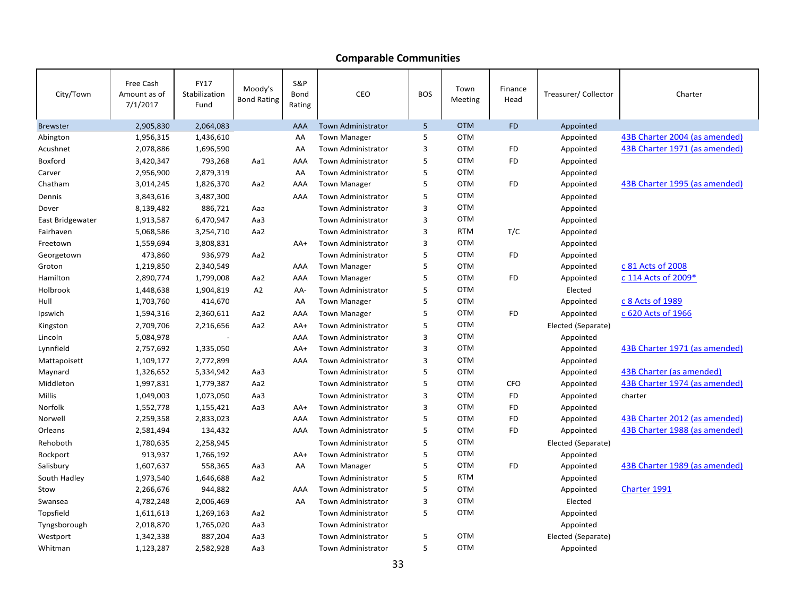## **Comparable Communities**

| City/Town        | Free Cash<br>Amount as of<br>7/1/2017 | <b>FY17</b><br>Stabilization<br>Fund | Moody's<br><b>Bond Rating</b> | S&P<br>Bond<br>Rating | CEO                       | <b>BOS</b> | Town<br>Meeting | Finance<br>Head | Treasurer/ Collector | Charter                       |
|------------------|---------------------------------------|--------------------------------------|-------------------------------|-----------------------|---------------------------|------------|-----------------|-----------------|----------------------|-------------------------------|
| <b>Brewster</b>  | 2,905,830                             | 2,064,083                            |                               | AAA                   | <b>Town Administrator</b> | 5          | <b>OTM</b>      | <b>FD</b>       | Appointed            |                               |
| Abington         | 1,956,315                             | 1,436,610                            |                               | AA                    | <b>Town Manager</b>       | 5          | <b>OTM</b>      |                 | Appointed            | 43B Charter 2004 (as amended) |
| Acushnet         | 2,078,886                             | 1,696,590                            |                               | AA                    | Town Administrator        | 3          | <b>OTM</b>      | <b>FD</b>       | Appointed            | 43B Charter 1971 (as amended) |
| Boxford          | 3,420,347                             | 793,268                              | Aa1                           | AAA                   | <b>Town Administrator</b> | 5          | <b>OTM</b>      | <b>FD</b>       | Appointed            |                               |
| Carver           | 2,956,900                             | 2,879,319                            |                               | AA                    | Town Administrator        | 5          | <b>OTM</b>      |                 | Appointed            |                               |
| Chatham          | 3,014,245                             | 1,826,370                            | Aa2                           | AAA                   | <b>Town Manager</b>       | 5          | <b>OTM</b>      | <b>FD</b>       | Appointed            | 43B Charter 1995 (as amended) |
| Dennis           | 3,843,616                             | 3,487,300                            |                               | AAA                   | <b>Town Administrator</b> | 5          | <b>OTM</b>      |                 | Appointed            |                               |
| Dover            | 8,139,482                             | 886,721                              | Aaa                           |                       | <b>Town Administrator</b> | 3          | <b>OTM</b>      |                 | Appointed            |                               |
| East Bridgewater | 1,913,587                             | 6,470,947                            | Aa3                           |                       | <b>Town Administrator</b> | 3          | <b>OTM</b>      |                 | Appointed            |                               |
| Fairhaven        | 5,068,586                             | 3,254,710                            | Aa2                           |                       | <b>Town Administrator</b> | 3          | <b>RTM</b>      | T/C             | Appointed            |                               |
| Freetown         | 1,559,694                             | 3,808,831                            |                               | $AA+$                 | Town Administrator        | 3          | <b>OTM</b>      |                 | Appointed            |                               |
| Georgetown       | 473,860                               | 936,979                              | Aa2                           |                       | <b>Town Administrator</b> | 5          | <b>OTM</b>      | <b>FD</b>       | Appointed            |                               |
| Groton           | 1,219,850                             | 2,340,549                            |                               | AAA                   | <b>Town Manager</b>       | 5          | <b>OTM</b>      |                 | Appointed            | c 81 Acts of 2008             |
| Hamilton         | 2,890,774                             | 1,799,008                            | Aa2                           | AAA                   | <b>Town Manager</b>       | 5          | <b>OTM</b>      | <b>FD</b>       | Appointed            | c 114 Acts of 2009*           |
| Holbrook         | 1,448,638                             | 1,904,819                            | A <sub>2</sub>                | AA-                   | <b>Town Administrator</b> | 5          | <b>OTM</b>      |                 | Elected              |                               |
| Hull             | 1,703,760                             | 414,670                              |                               | AA                    | <b>Town Manager</b>       | 5          | <b>OTM</b>      |                 | Appointed            | c 8 Acts of 1989              |
| Ipswich          | 1,594,316                             | 2,360,611                            | Aa2                           | AAA                   | <b>Town Manager</b>       | 5          | <b>OTM</b>      | <b>FD</b>       | Appointed            | c 620 Acts of 1966            |
| Kingston         | 2,709,706                             | 2,216,656                            | Aa2                           | $AA+$                 | <b>Town Administrator</b> | 5          | <b>OTM</b>      |                 | Elected (Separate)   |                               |
| Lincoln          | 5,084,978                             |                                      |                               | AAA                   | <b>Town Administrator</b> | 3          | <b>OTM</b>      |                 | Appointed            |                               |
| Lynnfield        | 2,757,692                             | 1,335,050                            |                               | $AA+$                 | <b>Town Administrator</b> | 3          | <b>OTM</b>      |                 | Appointed            | 43B Charter 1971 (as amended) |
| Mattapoisett     | 1,109,177                             | 2,772,899                            |                               | AAA                   | <b>Town Administrator</b> | 3          | <b>OTM</b>      |                 | Appointed            |                               |
| Maynard          | 1,326,652                             | 5,334,942                            | Aa3                           |                       | <b>Town Administrator</b> | 5          | <b>OTM</b>      |                 | Appointed            | 43B Charter (as amended)      |
| Middleton        | 1,997,831                             | 1,779,387                            | Aa2                           |                       | <b>Town Administrator</b> | 5          | <b>OTM</b>      | <b>CFO</b>      | Appointed            | 43B Charter 1974 (as amended) |
| Millis           | 1,049,003                             | 1,073,050                            | Aa3                           |                       | <b>Town Administrator</b> | 3          | <b>OTM</b>      | <b>FD</b>       | Appointed            | charter                       |
| Norfolk          | 1,552,778                             | 1,155,421                            | Aa3                           | $AA+$                 | <b>Town Administrator</b> | 3          | <b>OTM</b>      | <b>FD</b>       | Appointed            |                               |
| Norwell          | 2,259,358                             | 2,833,023                            |                               | AAA                   | <b>Town Administrator</b> | 5          | <b>OTM</b>      | <b>FD</b>       | Appointed            | 43B Charter 2012 (as amended) |
| Orleans          | 2,581,494                             | 134,432                              |                               | AAA                   | <b>Town Administrator</b> | 5          | <b>OTM</b>      | <b>FD</b>       | Appointed            | 43B Charter 1988 (as amended) |
| Rehoboth         | 1,780,635                             | 2,258,945                            |                               |                       | <b>Town Administrator</b> | 5          | <b>OTM</b>      |                 | Elected (Separate)   |                               |
| Rockport         | 913,937                               | 1,766,192                            |                               | AA+                   | <b>Town Administrator</b> | 5          | <b>OTM</b>      |                 | Appointed            |                               |
| Salisbury        | 1,607,637                             | 558,365                              | Aa3                           | AA                    | <b>Town Manager</b>       | 5          | <b>OTM</b>      | <b>FD</b>       | Appointed            | 43B Charter 1989 (as amended) |
| South Hadley     | 1,973,540                             | 1,646,688                            | Aa2                           |                       | <b>Town Administrator</b> | 5          | <b>RTM</b>      |                 | Appointed            |                               |
| Stow             | 2,266,676                             | 944,882                              |                               | AAA                   | <b>Town Administrator</b> | 5          | <b>OTM</b>      |                 | Appointed            | Charter 1991                  |
| Swansea          | 4,782,248                             | 2,006,469                            |                               | AA                    | <b>Town Administrator</b> | 3          | <b>OTM</b>      |                 | Elected              |                               |
| Topsfield        | 1,611,613                             | 1,269,163                            | Aa2                           |                       | <b>Town Administrator</b> | 5          | <b>OTM</b>      |                 | Appointed            |                               |
| Tyngsborough     | 2,018,870                             | 1,765,020                            | Aa3                           |                       | <b>Town Administrator</b> |            |                 |                 | Appointed            |                               |
| Westport         | 1,342,338                             | 887,204                              | Aa3                           |                       | <b>Town Administrator</b> | 5          | <b>OTM</b>      |                 | Elected (Separate)   |                               |
| Whitman          | 1,123,287                             | 2,582,928                            | Aa3                           |                       | <b>Town Administrator</b> | 5          | <b>OTM</b>      |                 | Appointed            |                               |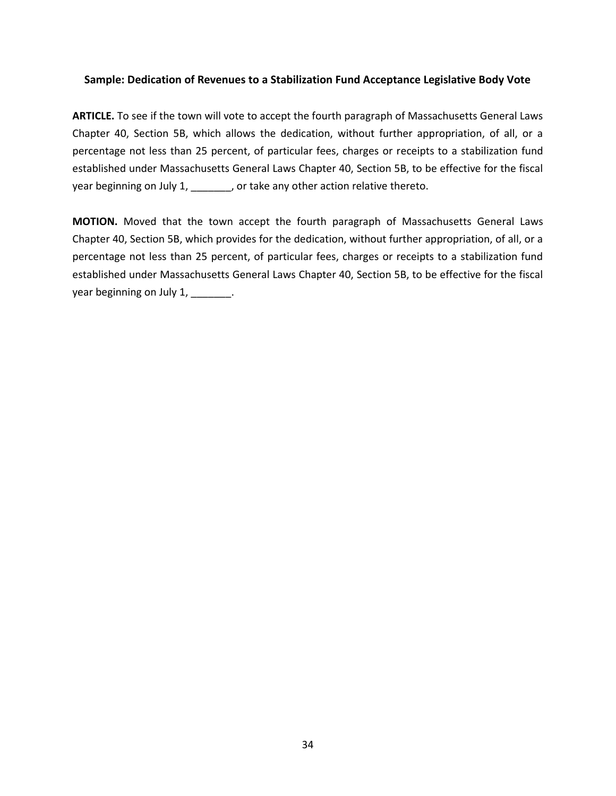### <span id="page-39-0"></span>**Sample: Dedication of Revenues to a Stabilization Fund Acceptance Legislative Body Vote**

**ARTICLE.** To see if the town will vote to accept the fourth paragraph of Massachusetts General Laws Chapter 40, Section 5B, which allows the dedication, without further appropriation, of all, or a percentage not less than 25 percent, of particular fees, charges or receipts to a stabilization fund established under Massachusetts General Laws Chapter 40, Section 5B, to be effective for the fiscal year beginning on July 1, \_\_\_\_\_\_\_, or take any other action relative thereto.

**MOTION.** Moved that the town accept the fourth paragraph of Massachusetts General Laws Chapter 40, Section 5B, which provides for the dedication, without further appropriation, of all, or a percentage not less than 25 percent, of particular fees, charges or receipts to a stabilization fund established under Massachusetts General Laws Chapter 40, Section 5B, to be effective for the fiscal year beginning on July 1, \_\_\_\_\_\_\_.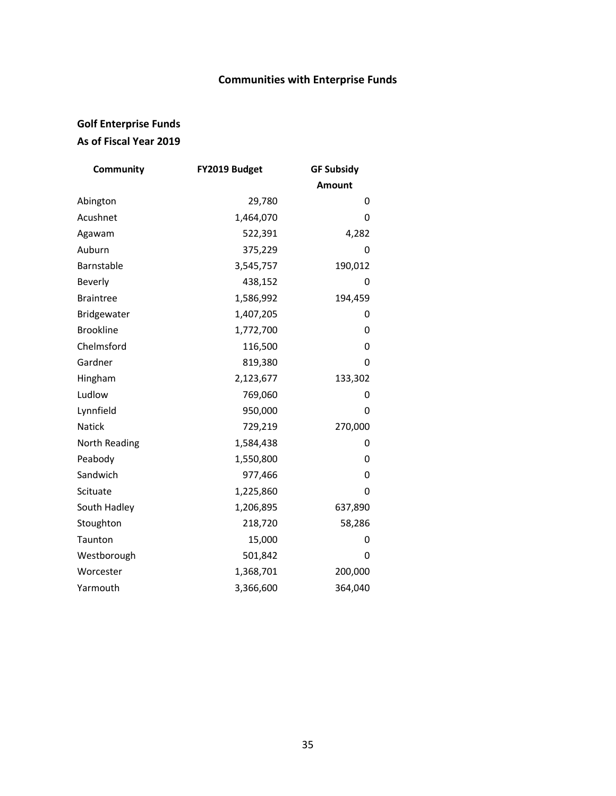# **Communities with Enterprise Funds**

# <span id="page-40-0"></span>**Golf Enterprise Funds As of Fiscal Year 2019**

| Community        | FY2019 Budget | <b>GF Subsidy</b> |
|------------------|---------------|-------------------|
|                  |               | <b>Amount</b>     |
| Abington         | 29,780        | 0                 |
| Acushnet         | 1,464,070     | 0                 |
| Agawam           | 522,391       | 4,282             |
| Auburn           | 375,229       | 0                 |
| Barnstable       | 3,545,757     | 190,012           |
| <b>Beverly</b>   | 438,152       | 0                 |
| <b>Braintree</b> | 1,586,992     | 194,459           |
| Bridgewater      | 1,407,205     | 0                 |
| <b>Brookline</b> | 1,772,700     | 0                 |
| Chelmsford       | 116,500       | 0                 |
| Gardner          | 819,380       | 0                 |
| Hingham          | 2,123,677     | 133,302           |
| Ludlow           | 769,060       | 0                 |
| Lynnfield        | 950,000       | 0                 |
| <b>Natick</b>    | 729,219       | 270,000           |
| North Reading    | 1,584,438     | 0                 |
| Peabody          | 1,550,800     | 0                 |
| Sandwich         | 977,466       | 0                 |
| Scituate         | 1,225,860     | 0                 |
| South Hadley     | 1,206,895     | 637,890           |
| Stoughton        | 218,720       | 58,286            |
| Taunton          | 15,000        | 0                 |
| Westborough      | 501,842       | 0                 |
| Worcester        | 1,368,701     | 200,000           |
| Yarmouth         | 3,366,600     | 364,040           |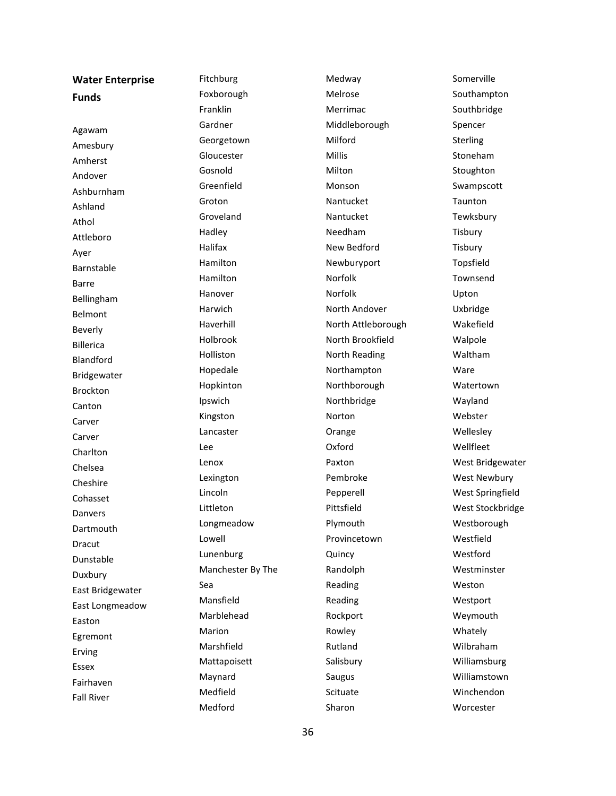| <b>Water Enterprise</b> | Fitchburg         | Medway             | Somerville          |
|-------------------------|-------------------|--------------------|---------------------|
| <b>Funds</b>            | Foxborough        | Melrose            | Southampton         |
|                         | Franklin          | Merrimac           | Southbridge         |
| Agawam                  | Gardner           | Middleborough      | Spencer             |
| Amesbury                | Georgetown        | Milford            | Sterling            |
| Amherst                 | Gloucester        | Millis             | Stoneham            |
| Andover                 | Gosnold           | Milton             | Stoughton           |
| Ashburnham              | Greenfield        | Monson             | Swampscott          |
| Ashland                 | Groton            | Nantucket          | Taunton             |
| Athol                   | Groveland         | Nantucket          | Tewksbury           |
| Attleboro               | Hadley            | Needham            | Tisbury             |
|                         | Halifax           | New Bedford        | Tisbury             |
| Ayer<br>Barnstable      | Hamilton          | Newburyport        | Topsfield           |
| Barre                   | Hamilton          | Norfolk            | Townsend            |
|                         | Hanover           | Norfolk            | Upton               |
| Bellingham<br>Belmont   | Harwich           | North Andover      | Uxbridge            |
| Beverly                 | Haverhill         | North Attleborough | Wakefield           |
| <b>Billerica</b>        | Holbrook          | North Brookfield   | Walpole             |
| Blandford               | Holliston         | North Reading      | Waltham             |
|                         | Hopedale          | Northampton        | Ware                |
| Bridgewater             | Hopkinton         | Northborough       | Watertown           |
| Brockton                | Ipswich           | Northbridge        | Wayland             |
| Canton                  | Kingston          | Norton             | Webster             |
| Carver                  | Lancaster         | Orange             | Wellesley           |
| Carver                  | Lee               | Oxford             | Wellfleet           |
| Charlton                | Lenox             | Paxton             | West Bridgewater    |
| Chelsea<br>Cheshire     | Lexington         | Pembroke           | <b>West Newbury</b> |
|                         | Lincoln           | Pepperell          | West Springfield    |
| Cohasset                | Littleton         | Pittsfield         | West Stockbridge    |
| Danvers                 | Longmeadow        | Plymouth           | Westborough         |
| Dartmouth               | Lowell            | Provincetown       | Westfield           |
| Dracut                  | Lunenburg         | Quincy             | Westford            |
| Dunstable               | Manchester By The | Randolph           | Westminster         |
| Duxbury                 | Sea               | Reading            | Weston              |
| East Bridgewater        | Mansfield         | Reading            | Westport            |
| East Longmeadow         | Marblehead        | Rockport           | Weymouth            |
| Easton                  | Marion            | Rowley             | Whately             |
| Egremont                | Marshfield        | Rutland            | Wilbraham           |
| Erving                  | Mattapoisett      | Salisbury          | Williamsburg        |
| Essex                   | Maynard           | Saugus             | Williamstown        |
| Fairhaven               | Medfield          | Scituate           | Winchendon          |
| <b>Fall River</b>       | Medford           | Sharon             | Worcester           |
|                         |                   |                    |                     |